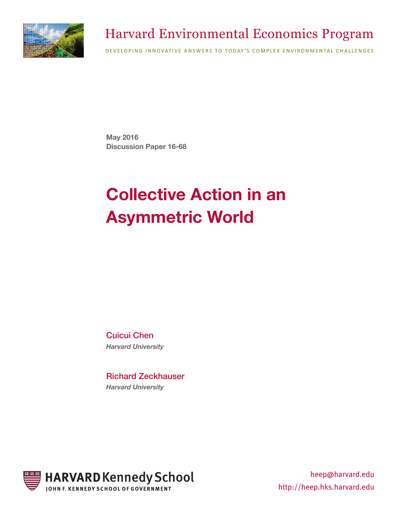

### Harvard Environmental Economics Program

DEVELOPING INNOVATIVE ANSWERS TO TODAY'S COMPLEX ENVIRONMENTAL CHALLENGES

**May 2016 Discussion Paper 16-68**

# **Collective Action in an Asymmetric World**

Cuicui Chen *Harvard University* 

Richard Zeckhauser *Harvard University* 



heep@harvard.edu http://heep.hks.harvard.edu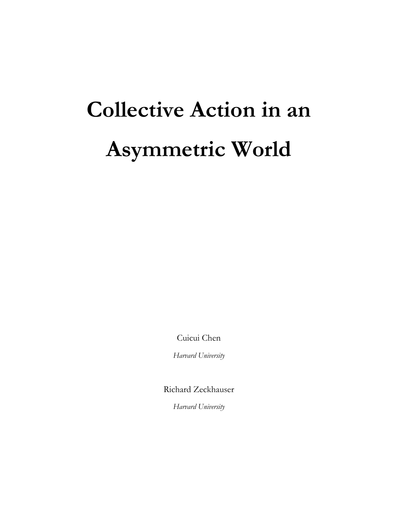# **Collective Action in an Asymmetric World**

Cuicui Chen

*Harvard University*

Richard Zeckhauser

*Harvard University*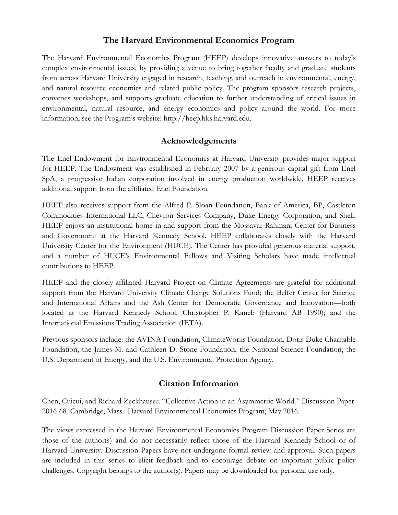#### **The Harvard Environmental Economics Program**

The Harvard Environmental Economics Program (HEEP) develops innovative answers to today's complex environmental issues, by providing a venue to bring together faculty and graduate students from across Harvard University engaged in research, teaching, and outreach in environmental, energy, and natural resource economics and related public policy. The program sponsors research projects, convenes workshops, and supports graduate education to further understanding of critical issues in environmental, natural resource, and energy economics and policy around the world. For more information, see the Program's website: http://heep.hks.harvard.edu.

#### **Acknowledgements**

The Enel Endowment for Environmental Economics at Harvard University provides major support for HEEP. The Endowment was established in February 2007 by a generous capital gift from Enel SpA, a progressive Italian corporation involved in energy production worldwide. HEEP receives additional support from the affiliated Enel Foundation.

HEEP also receives support from the Alfred P. Sloan Foundation, Bank of America, BP, Castleton Commodities International LLC, Chevron Services Company, Duke Energy Corporation, and Shell. HEEP enjoys an institutional home in and support from the Mossavar-Rahmani Center for Business and Government at the Harvard Kennedy School. HEEP collaborates closely with the Harvard University Center for the Environment (HUCE). The Center has provided generous material support, and a number of HUCE's Environmental Fellows and Visiting Scholars have made intellectual contributions to HEEP.

HEEP and the closely-affiliated Harvard Project on Climate Agreements are grateful for additional support from the Harvard University Climate Change Solutions Fund; the Belfer Center for Science and International Affairs and the Ash Center for Democratic Governance and Innovation—both located at the Harvard Kennedy School; Christopher P. Kaneb (Harvard AB 1990); and the International Emissions Trading Association (IETA).

Previous sponsors include: the AVINA Foundation, ClimateWorks Foundation, Doris Duke Charitable Foundation, the James M. and Cathleen D. Stone Foundation, the National Science Foundation, the U.S. Department of Energy, and the U.S. Environmental Protection Agency.

#### **Citation Information**

Chen, Cuicui, and Richard Zeckhauser. "Collective Action in an Asymmetric World." Discussion Paper 2016-68. Cambridge, Mass.: Harvard Environmental Economics Program, May 2016.

The views expressed in the Harvard Environmental Economics Program Discussion Paper Series are those of the author(s) and do not necessarily reflect those of the Harvard Kennedy School or of Harvard University. Discussion Papers have not undergone formal review and approval. Such papers are included in this series to elicit feedback and to encourage debate on important public policy challenges. Copyright belongs to the author(s). Papers may be downloaded for personal use only.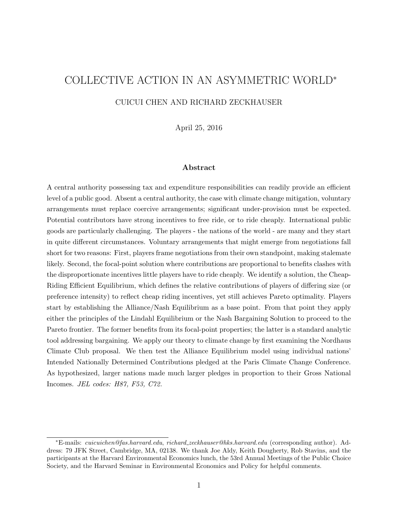## COLLECTIVE ACTION IN AN ASYMMETRIC WORLD<sup>∗</sup>

CUICUI CHEN AND RICHARD ZECKHAUSER

April 25, 2016

#### Abstract

A central authority possessing tax and expenditure responsibilities can readily provide an efficient level of a public good. Absent a central authority, the case with climate change mitigation, voluntary arrangements must replace coercive arrangements; significant under-provision must be expected. Potential contributors have strong incentives to free ride, or to ride cheaply. International public goods are particularly challenging. The players - the nations of the world - are many and they start in quite different circumstances. Voluntary arrangements that might emerge from negotiations fall short for two reasons: First, players frame negotiations from their own standpoint, making stalemate likely. Second, the focal-point solution where contributions are proportional to benefits clashes with the disproportionate incentives little players have to ride cheaply. We identify a solution, the Cheap-Riding Efficient Equilibrium, which defines the relative contributions of players of differing size (or preference intensity) to reflect cheap riding incentives, yet still achieves Pareto optimality. Players start by establishing the Alliance/Nash Equilibrium as a base point. From that point they apply either the principles of the Lindahl Equilibrium or the Nash Bargaining Solution to proceed to the Pareto frontier. The former benefits from its focal-point properties; the latter is a standard analytic tool addressing bargaining. We apply our theory to climate change by first examining the Nordhaus Climate Club proposal. We then test the Alliance Equilibrium model using individual nations' Intended Nationally Determined Contributions pledged at the Paris Climate Change Conference. As hypothesized, larger nations made much larger pledges in proportion to their Gross National Incomes. JEL codes: H87, F53, C72.

<sup>∗</sup>E-mails: cuicuichen@fas.harvard.edu, richard zeckhauser@hks.harvard.edu (corresponding author). Address: 79 JFK Street, Cambridge, MA, 02138. We thank Joe Aldy, Keith Dougherty, Rob Stavins, and the participants at the Harvard Environmental Economics lunch, the 53rd Annual Meetings of the Public Choice Society, and the Harvard Seminar in Environmental Economics and Policy for helpful comments.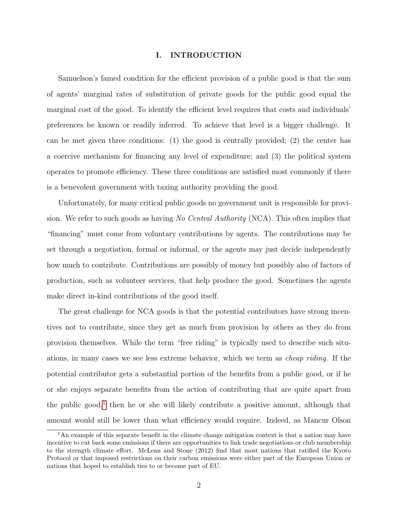#### I. INTRODUCTION

Samuelson's famed condition for the efficient provision of a public good is that the sum of agents' marginal rates of substitution of private goods for the public good equal the marginal cost of the good. To identify the efficient level requires that costs and individuals' preferences be known or readily inferred. To achieve that level is a bigger challenge. It can be met given three conditions: (1) the good is centrally provided; (2) the center has a coercive mechanism for financing any level of expenditure; and (3) the political system operates to promote efficiency. These three conditions are satisfied most commonly if there is a benevolent government with taxing authority providing the good.

Unfortunately, for many critical public goods no government unit is responsible for provision. We refer to such goods as having No Central Authority (NCA). This often implies that "financing" must come from voluntary contributions by agents. The contributions may be set through a negotiation, formal or informal, or the agents may just decide independently how much to contribute. Contributions are possibly of money but possibly also of factors of production, such as volunteer services, that help produce the good. Sometimes the agents make direct in-kind contributions of the good itself.

The great challenge for NCA goods is that the potential contributors have strong incentives not to contribute, since they get as much from provision by others as they do from provision themselves. While the term "free riding" is typically used to describe such situations, in many cases we see less extreme behavior, which we term as cheap riding. If the potential contributor gets a substantial portion of the benefits from a public good, or if he or she enjoys separate benefits from the action of contributing that are quite apart from the public good,<sup>[1](#page-5-0)</sup> then he or she will likely contribute a positive amount, although that amount would still be lower than what efficiency would require. Indeed, as Mancur Olson

<span id="page-5-0"></span><sup>&</sup>lt;sup>1</sup>An example of this separate benefit in the climate change mitigation context is that a nation may have incentive to cut back some emissions if there are opportunities to link trade negotiations or club membership to the strength climate effort. McLean and Stone (2012) find that most nations that ratified the Kyoto Protocol or that imposed restrictions on their carbon emissions were either part of the European Union or nations that hoped to establish ties to or become part of EU.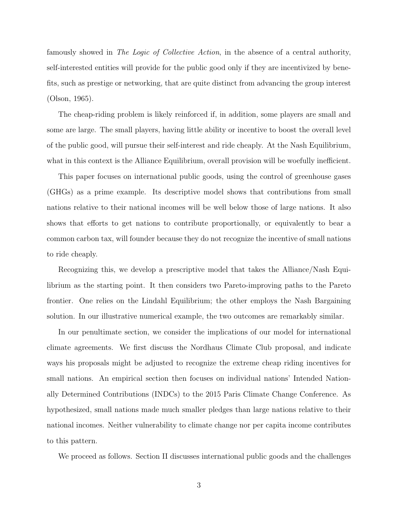famously showed in The Logic of Collective Action, in the absence of a central authority, self-interested entities will provide for the public good only if they are incentivized by benefits, such as prestige or networking, that are quite distinct from advancing the group interest (Olson, 1965).

The cheap-riding problem is likely reinforced if, in addition, some players are small and some are large. The small players, having little ability or incentive to boost the overall level of the public good, will pursue their self-interest and ride cheaply. At the Nash Equilibrium, what in this context is the Alliance Equilibrium, overall provision will be woefully inefficient.

This paper focuses on international public goods, using the control of greenhouse gases (GHGs) as a prime example. Its descriptive model shows that contributions from small nations relative to their national incomes will be well below those of large nations. It also shows that efforts to get nations to contribute proportionally, or equivalently to bear a common carbon tax, will founder because they do not recognize the incentive of small nations to ride cheaply.

Recognizing this, we develop a prescriptive model that takes the Alliance/Nash Equilibrium as the starting point. It then considers two Pareto-improving paths to the Pareto frontier. One relies on the Lindahl Equilibrium; the other employs the Nash Bargaining solution. In our illustrative numerical example, the two outcomes are remarkably similar.

In our penultimate section, we consider the implications of our model for international climate agreements. We first discuss the Nordhaus Climate Club proposal, and indicate ways his proposals might be adjusted to recognize the extreme cheap riding incentives for small nations. An empirical section then focuses on individual nations' Intended Nationally Determined Contributions (INDCs) to the 2015 Paris Climate Change Conference. As hypothesized, small nations made much smaller pledges than large nations relative to their national incomes. Neither vulnerability to climate change nor per capita income contributes to this pattern.

We proceed as follows. Section II discusses international public goods and the challenges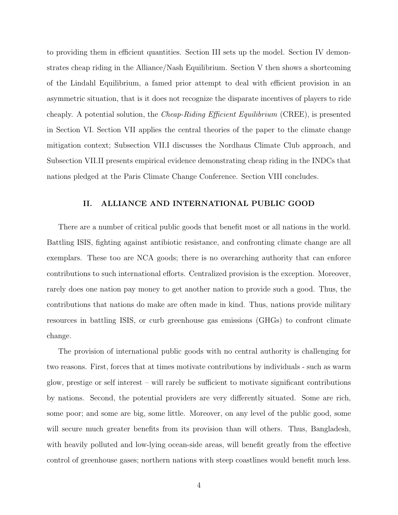to providing them in efficient quantities. Section III sets up the model. Section IV demonstrates cheap riding in the Alliance/Nash Equilibrium. Section V then shows a shortcoming of the Lindahl Equilibrium, a famed prior attempt to deal with efficient provision in an asymmetric situation, that is it does not recognize the disparate incentives of players to ride cheaply. A potential solution, the Cheap-Riding Efficient Equilibrium (CREE), is presented in Section VI. Section VII applies the central theories of the paper to the climate change mitigation context; Subsection VII.I discusses the Nordhaus Climate Club approach, and Subsection VII.II presents empirical evidence demonstrating cheap riding in the INDCs that nations pledged at the Paris Climate Change Conference. Section VIII concludes.

#### II. ALLIANCE AND INTERNATIONAL PUBLIC GOOD

There are a number of critical public goods that benefit most or all nations in the world. Battling ISIS, fighting against antibiotic resistance, and confronting climate change are all exemplars. These too are NCA goods; there is no overarching authority that can enforce contributions to such international efforts. Centralized provision is the exception. Moreover, rarely does one nation pay money to get another nation to provide such a good. Thus, the contributions that nations do make are often made in kind. Thus, nations provide military resources in battling ISIS, or curb greenhouse gas emissions (GHGs) to confront climate change.

The provision of international public goods with no central authority is challenging for two reasons. First, forces that at times motivate contributions by individuals - such as warm glow, prestige or self interest – will rarely be sufficient to motivate significant contributions by nations. Second, the potential providers are very differently situated. Some are rich, some poor; and some are big, some little. Moreover, on any level of the public good, some will secure much greater benefits from its provision than will others. Thus, Bangladesh, with heavily polluted and low-lying ocean-side areas, will benefit greatly from the effective control of greenhouse gases; northern nations with steep coastlines would benefit much less.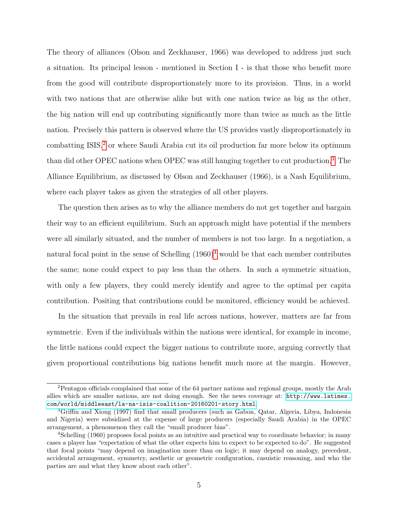The theory of alliances (Olson and Zeckhauser, 1966) was developed to address just such a situation. Its principal lesson - mentioned in Section I - is that those who benefit more from the good will contribute disproportionately more to its provision. Thus, in a world with two nations that are otherwise alike but with one nation twice as big as the other, the big nation will end up contributing significantly more than twice as much as the little nation. Precisely this pattern is observed where the US provides vastly disproportionately in combatting ISIS,<sup>[2](#page-8-0)</sup> or where Saudi Arabia cut its oil production far more below its optimum than did other OPEC nations when OPEC was still hanging together to cut production.[3](#page-8-1) The Alliance Equilibrium, as discussed by Olson and Zeckhauser (1966), is a Nash Equilibrium, where each player takes as given the strategies of all other players.

The question then arises as to why the alliance members do not get together and bargain their way to an efficient equilibrium. Such an approach might have potential if the members were all similarly situated, and the number of members is not too large. In a negotiation, a natural focal point in the sense of Schelling  $(1960)^4$  $(1960)^4$  would be that each member contributes the same; none could expect to pay less than the others. In such a symmetric situation, with only a few players, they could merely identify and agree to the optimal per capita contribution. Positing that contributions could be monitored, efficiency would be achieved.

In the situation that prevails in real life across nations, however, matters are far from symmetric. Even if the individuals within the nations were identical, for example in income, the little nations could expect the bigger nations to contribute more, arguing correctly that given proportional contributions big nations benefit much more at the margin. However,

<span id="page-8-0"></span><sup>2</sup>Pentagon officials complained that some of the 64 partner nations and regional groups, mostly the Arab allies which are smaller nations, are not doing enough. See the news coverage at: [http://www.latimes.](http://www.latimes.com/world/middleeast/la-na-isis-coalition-20160201-story.html) [com/world/middleeast/la-na-isis-coalition-20160201-story.html](http://www.latimes.com/world/middleeast/la-na-isis-coalition-20160201-story.html).

<span id="page-8-1"></span><sup>3</sup>Griffin and Xiong (1997) find that small producers (such as Gabon, Qatar, Algeria, Libya, Indonesia and Nigeria) were subsidized at the expense of large producers (especially Saudi Arabia) in the OPEC arrangement, a phenomenon they call the "small producer bias".

<span id="page-8-2"></span><sup>4</sup>Schelling (1960) proposes focal points as an intuitive and practical way to coordinate behavior; in many cases a player has "expectation of what the other expects him to expect to be expected to do". He suggested that focal points "may depend on imagination more than on logic; it may depend on analogy, precedent, accidental arrangement, symmetry, aesthetic or geometric configuration, casuistic reasoning, and who the parties are and what they know about each other".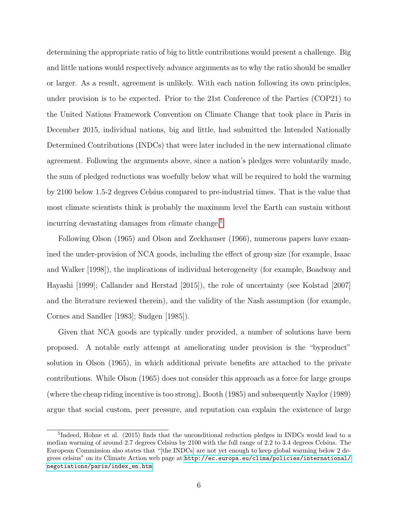determining the appropriate ratio of big to little contributions would present a challenge. Big and little nations would respectively advance arguments as to why the ratio should be smaller or larger. As a result, agreement is unlikely. With each nation following its own principles, under provision is to be expected. Prior to the 21st Conference of the Parties (COP21) to the United Nations Framework Convention on Climate Change that took place in Paris in December 2015, individual nations, big and little, had submitted the Intended Nationally Determined Contributions (INDCs) that were later included in the new international climate agreement. Following the arguments above, since a nation's pledges were voluntarily made, the sum of pledged reductions was woefully below what will be required to hold the warming by 2100 below 1.5-2 degrees Celsius compared to pre-industrial times. That is the value that most climate scientists think is probably the maximum level the Earth can sustain without incurring devastating damages from climate change.<sup>[5](#page-9-0)</sup>

Following Olson (1965) and Olson and Zeckhauser (1966), numerous papers have examined the under-provision of NCA goods, including the effect of group size (for example, Isaac and Walker [1998]), the implications of individual heterogeneity (for example, Boadway and Hayashi [1999]; Callander and Herstad [2015]), the role of uncertainty (see Kolstad [2007] and the literature reviewed therein), and the validity of the Nash assumption (for example, Cornes and Sandler [1983]; Sudgen [1985]).

Given that NCA goods are typically under provided, a number of solutions have been proposed. A notable early attempt at ameliorating under provision is the "byproduct" solution in Olson (1965), in which additional private benefits are attached to the private contributions. While Olson (1965) does not consider this approach as a force for large groups (where the cheap riding incentive is too strong), Booth (1985) and subsequently Naylor (1989) argue that social custom, peer pressure, and reputation can explain the existence of large

<span id="page-9-0"></span><sup>&</sup>lt;sup>5</sup>Indeed, Hohne et al. (2015) finds that the unconditional reduction pledges in INDCs would lead to a median warming of around 2.7 degrees Celsius by 2100 with the full range of 2.2 to 3.4 degrees Celsius. The European Commission also states that "[the INDCs] are not yet enough to keep global warming below 2 degrees celsius" on its Climate Action web page at [http://ec.europa.eu/clima/policies/international/](http://ec.europa.eu/clima/policies/international/negotiations/paris/index_en.htm) [negotiations/paris/index\\_en.htm](http://ec.europa.eu/clima/policies/international/negotiations/paris/index_en.htm).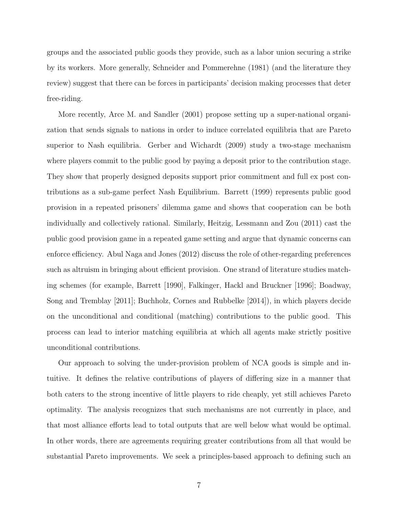groups and the associated public goods they provide, such as a labor union securing a strike by its workers. More generally, Schneider and Pommerehne (1981) (and the literature they review) suggest that there can be forces in participants' decision making processes that deter free-riding.

More recently, Arce M. and Sandler (2001) propose setting up a super-national organization that sends signals to nations in order to induce correlated equilibria that are Pareto superior to Nash equilibria. Gerber and Wichardt (2009) study a two-stage mechanism where players commit to the public good by paying a deposit prior to the contribution stage. They show that properly designed deposits support prior commitment and full ex post contributions as a sub-game perfect Nash Equilibrium. Barrett (1999) represents public good provision in a repeated prisoners' dilemma game and shows that cooperation can be both individually and collectively rational. Similarly, Heitzig, Lessmann and Zou (2011) cast the public good provision game in a repeated game setting and argue that dynamic concerns can enforce efficiency. Abul Naga and Jones (2012) discuss the role of other-regarding preferences such as altruism in bringing about efficient provision. One strand of literature studies matching schemes (for example, Barrett [1990], Falkinger, Hackl and Bruckner [1996]; Boadway, Song and Tremblay [2011]; Buchholz, Cornes and Rubbelke [2014]), in which players decide on the unconditional and conditional (matching) contributions to the public good. This process can lead to interior matching equilibria at which all agents make strictly positive unconditional contributions.

Our approach to solving the under-provision problem of NCA goods is simple and intuitive. It defines the relative contributions of players of differing size in a manner that both caters to the strong incentive of little players to ride cheaply, yet still achieves Pareto optimality. The analysis recognizes that such mechanisms are not currently in place, and that most alliance efforts lead to total outputs that are well below what would be optimal. In other words, there are agreements requiring greater contributions from all that would be substantial Pareto improvements. We seek a principles-based approach to defining such an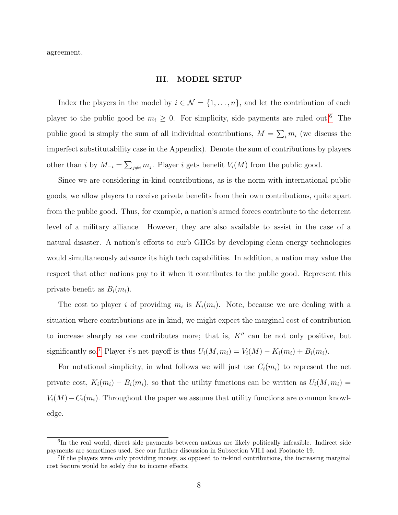agreement.

#### III. MODEL SETUP

Index the players in the model by  $i \in \mathcal{N} = \{1, \ldots, n\}$ , and let the contribution of each player to the public good be  $m_i \geq 0$ . For simplicity, side payments are ruled out.<sup>[6](#page-11-0)</sup> The public good is simply the sum of all individual contributions,  $M = \sum_i m_i$  (we discuss the imperfect substitutability case in the Appendix). Denote the sum of contributions by players other than i by  $M_{-i} = \sum_{j \neq i} m_j$ . Player i gets benefit  $V_i(M)$  from the public good.

Since we are considering in-kind contributions, as is the norm with international public goods, we allow players to receive private benefits from their own contributions, quite apart from the public good. Thus, for example, a nation's armed forces contribute to the deterrent level of a military alliance. However, they are also available to assist in the case of a natural disaster. A nation's efforts to curb GHGs by developing clean energy technologies would simultaneously advance its high tech capabilities. In addition, a nation may value the respect that other nations pay to it when it contributes to the public good. Represent this private benefit as  $B_i(m_i)$ .

The cost to player i of providing  $m_i$  is  $K_i(m_i)$ . Note, because we are dealing with a situation where contributions are in kind, we might expect the marginal cost of contribution to increase sharply as one contributes more; that is,  $K''$  can be not only positive, but significantly so.<sup>[7](#page-11-1)</sup> Player i's net payoff is thus  $U_i(M, m_i) = V_i(M) - K_i(m_i) + B_i(m_i)$ .

For notational simplicity, in what follows we will just use  $C_i(m_i)$  to represent the net private cost,  $K_i(m_i) - B_i(m_i)$ , so that the utility functions can be written as  $U_i(M, m_i) =$  $V_i(M) - C_i(m_i)$ . Throughout the paper we assume that utility functions are common knowledge.

<span id="page-11-0"></span><sup>&</sup>lt;sup>6</sup>In the real world, direct side payments between nations are likely politically infeasible. Indirect side payments are sometimes used. See our further discussion in Subsection VII.I and Footnote 19.

<span id="page-11-1"></span><sup>&</sup>lt;sup>7</sup>If the players were only providing money, as opposed to in-kind contributions, the increasing marginal cost feature would be solely due to income effects.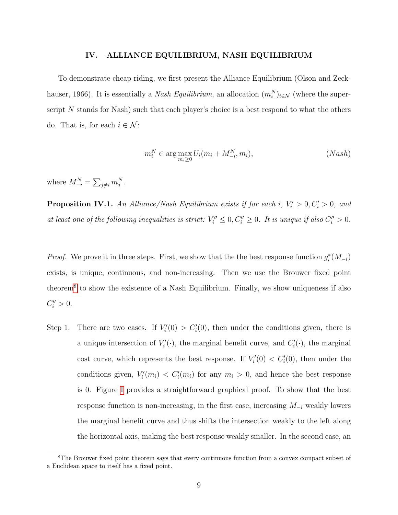#### IV. ALLIANCE EQUILIBRIUM, NASH EQUILIBRIUM

To demonstrate cheap riding, we first present the Alliance Equilibrium (Olson and Zeckhauser, 1966). It is essentially a *Nash Equilibrium*, an allocation  $(m_i^N)_{i \in \mathcal{N}}$  (where the superscript  $N$  stands for Nash) such that each player's choice is a best respond to what the others do. That is, for each  $i \in \mathcal{N}$ :

$$
m_i^N \in \arg\max_{m_i \ge 0} U_i(m_i + M_{-i}^N, m_i), \qquad (Nash)
$$

where  $M_{-i}^N = \sum_{j \neq i} m_j^N$ .

<span id="page-12-1"></span>**Proposition IV.1.** An Alliance/Nash Equilibrium exists if for each i,  $V_i' > 0, C_i' > 0$ , and at least one of the following inequalities is strict:  $V_i'' \leq 0, C_i'' \geq 0$ . It is unique if also  $C_i'' > 0$ .

*Proof.* We prove it in three steps. First, we show that the the best response function  $g_i^*(M_{-i})$ exists, is unique, continuous, and non-increasing. Then we use the Brouwer fixed point theorem<sup>[8](#page-12-0)</sup> to show the existence of a Nash Equilibrium. Finally, we show uniqueness if also  $C''_i > 0.$ 

Step 1. There are two cases. If  $V_i'(0) > C_i'(0)$ , then under the conditions given, there is a unique intersection of  $V_i'(\cdot)$ , the marginal benefit curve, and  $C_i'(\cdot)$ , the marginal cost curve, which represents the best response. If  $V_i'(0) < C_i'(0)$ , then under the conditions given,  $V_i'(m_i) < C_i'(m_i)$  for any  $m_i > 0$ , and hence the best response is 0. Figure [I](#page-42-0) provides a straightforward graphical proof. To show that the best response function is non-increasing, in the first case, increasing  $M_{-i}$  weakly lowers the marginal benefit curve and thus shifts the intersection weakly to the left along the horizontal axis, making the best response weakly smaller. In the second case, an

<span id="page-12-0"></span><sup>&</sup>lt;sup>8</sup>The Brouwer fixed point theorem says that every continuous function from a convex compact subset of a Euclidean space to itself has a fixed point.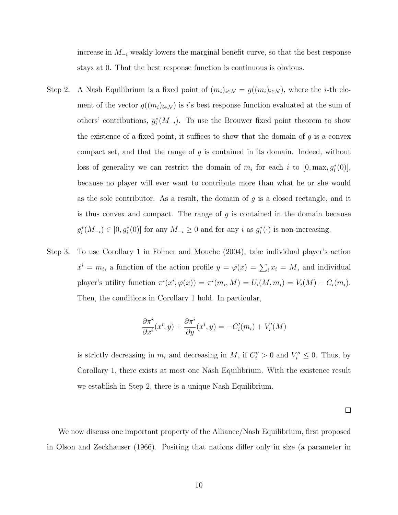increase in  $M_{-i}$  weakly lowers the marginal benefit curve, so that the best response stays at 0. That the best response function is continuous is obvious.

- Step 2. A Nash Equilibrium is a fixed point of  $(m_i)_{i\in\mathcal{N}}=g((m_i)_{i\in\mathcal{N}})$ , where the *i*-th element of the vector  $g((m_i)_{i\in\mathcal{N}})$  is i's best response function evaluated at the sum of others' contributions,  $g_i^*(M_{-i})$ . To use the Brouwer fixed point theorem to show the existence of a fixed point, it suffices to show that the domain of  $g$  is a convex compact set, and that the range of  $q$  is contained in its domain. Indeed, without loss of generality we can restrict the domain of  $m_i$  for each i to  $[0, \max_i g_i^*(0)],$ because no player will ever want to contribute more than what he or she would as the sole contributor. As a result, the domain of  $g$  is a closed rectangle, and it is thus convex and compact. The range of  $g$  is contained in the domain because  $g_i^*(M_{-i}) \in [0, g_i^*(0)]$  for any  $M_{-i} \geq 0$  and for any i as  $g_i^*(\cdot)$  is non-increasing.
- Step 3. To use Corollary 1 in Folmer and Mouche (2004), take individual player's action  $x^i = m_i$ , a function of the action profile  $y = \varphi(x) = \sum_i x_i = M$ , and individual player's utility function  $\pi^i(x^i, \varphi(x)) = \pi^i(m_i, M) = U_i(M, m_i) = V_i(M) - C_i(m_i)$ . Then, the conditions in Corollary 1 hold. In particular,

$$
\frac{\partial \pi^i}{\partial x^i}(x^i, y) + \frac{\partial \pi^i}{\partial y}(x^i, y) = -C'_i(m_i) + V'_i(M)
$$

is strictly decreasing in  $m_i$  and decreasing in M, if  $C_i'' > 0$  and  $V_i'' \leq 0$ . Thus, by Corollary 1, there exists at most one Nash Equilibrium. With the existence result we establish in Step 2, there is a unique Nash Equilibrium.

 $\Box$ 

We now discuss one important property of the Alliance/Nash Equilibrium, first proposed in Olson and Zeckhauser (1966). Positing that nations differ only in size (a parameter in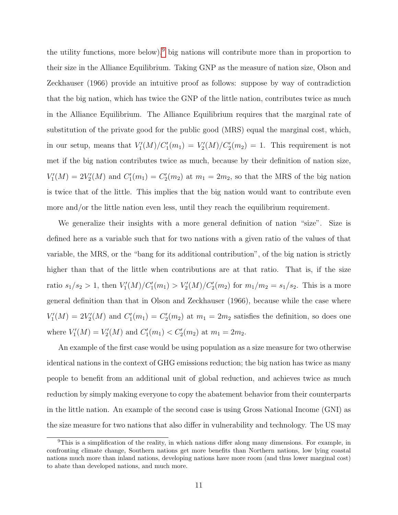the utility functions, more below),<sup>[9](#page-14-0)</sup> big nations will contribute more than in proportion to their size in the Alliance Equilibrium. Taking GNP as the measure of nation size, Olson and Zeckhauser (1966) provide an intuitive proof as follows: suppose by way of contradiction that the big nation, which has twice the GNP of the little nation, contributes twice as much in the Alliance Equilibrium. The Alliance Equilibrium requires that the marginal rate of substitution of the private good for the public good (MRS) equal the marginal cost, which, in our setup, means that  $V_1'(M)/C_1'(m_1) = V_2'(M)/C_2'(m_2) = 1$ . This requirement is not met if the big nation contributes twice as much, because by their definition of nation size,  $V'_1(M) = 2V'_2(M)$  and  $C'_1(m_1) = C'_2(m_2)$  at  $m_1 = 2m_2$ , so that the MRS of the big nation is twice that of the little. This implies that the big nation would want to contribute even more and/or the little nation even less, until they reach the equilibrium requirement.

We generalize their insights with a more general definition of nation "size". Size is defined here as a variable such that for two nations with a given ratio of the values of that variable, the MRS, or the "bang for its additional contribution", of the big nation is strictly higher than that of the little when contributions are at that ratio. That is, if the size ratio  $s_1/s_2 > 1$ , then  $V'_1(M)/C'_1(m_1) > V'_2(M)/C'_2(m_2)$  for  $m_1/m_2 = s_1/s_2$ . This is a more general definition than that in Olson and Zeckhauser (1966), because while the case where  $V'_1(M) = 2V'_2(M)$  and  $C'_1(m_1) = C'_2(m_2)$  at  $m_1 = 2m_2$  satisfies the definition, so does one where  $V_1'(M) = V_2'(M)$  and  $C_1'(m_1) < C_2'(m_2)$  at  $m_1 = 2m_2$ .

An example of the first case would be using population as a size measure for two otherwise identical nations in the context of GHG emissions reduction; the big nation has twice as many people to benefit from an additional unit of global reduction, and achieves twice as much reduction by simply making everyone to copy the abatement behavior from their counterparts in the little nation. An example of the second case is using Gross National Income (GNI) as the size measure for two nations that also differ in vulnerability and technology. The US may

<span id="page-14-0"></span><sup>9</sup>This is a simplification of the reality, in which nations differ along many dimensions. For example, in confronting climate change, Southern nations get more benefits than Northern nations, low lying coastal nations much more than inland nations, developing nations have more room (and thus lower marginal cost) to abate than developed nations, and much more.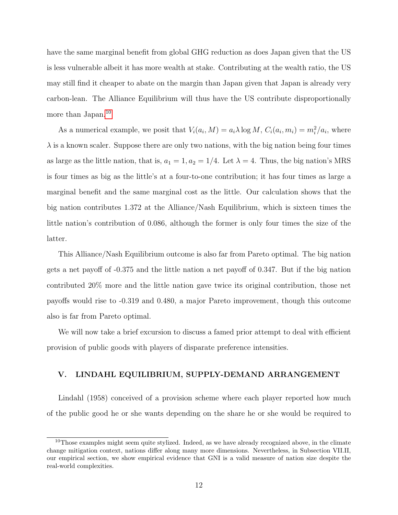have the same marginal benefit from global GHG reduction as does Japan given that the US is less vulnerable albeit it has more wealth at stake. Contributing at the wealth ratio, the US may still find it cheaper to abate on the margin than Japan given that Japan is already very carbon-lean. The Alliance Equilibrium will thus have the US contribute disproportionally more than Japan.<sup>[10](#page-15-0)</sup>

As a numerical example, we posit that  $V_i(a_i, M) = a_i \lambda \log M$ ,  $C_i(a_i, m_i) = m_i^2/a_i$ , where  $\lambda$  is a known scaler. Suppose there are only two nations, with the big nation being four times as large as the little nation, that is,  $a_1 = 1, a_2 = 1/4$ . Let  $\lambda = 4$ . Thus, the big nation's MRS is four times as big as the little's at a four-to-one contribution; it has four times as large a marginal benefit and the same marginal cost as the little. Our calculation shows that the big nation contributes 1.372 at the Alliance/Nash Equilibrium, which is sixteen times the little nation's contribution of 0.086, although the former is only four times the size of the latter.

This Alliance/Nash Equilibrium outcome is also far from Pareto optimal. The big nation gets a net payoff of -0.375 and the little nation a net payoff of 0.347. But if the big nation contributed 20% more and the little nation gave twice its original contribution, those net payoffs would rise to -0.319 and 0.480, a major Pareto improvement, though this outcome also is far from Pareto optimal.

We will now take a brief excursion to discuss a famed prior attempt to deal with efficient provision of public goods with players of disparate preference intensities.

#### V. LINDAHL EQUILIBRIUM, SUPPLY-DEMAND ARRANGEMENT

Lindahl (1958) conceived of a provision scheme where each player reported how much of the public good he or she wants depending on the share he or she would be required to

<span id="page-15-0"></span> $10$ Those examples might seem quite stylized. Indeed, as we have already recognized above, in the climate change mitigation context, nations differ along many more dimensions. Nevertheless, in Subsection VII.II, our empirical section, we show empirical evidence that GNI is a valid measure of nation size despite the real-world complexities.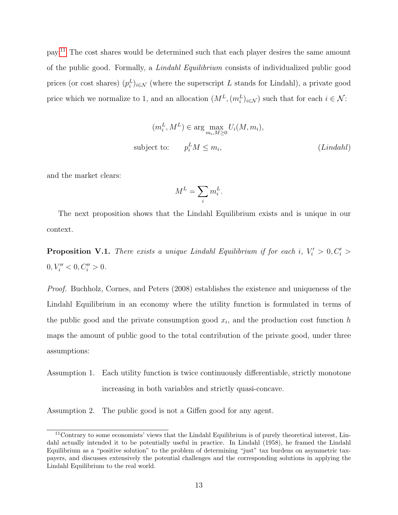pay.[11](#page-16-0) The cost shares would be determined such that each player desires the same amount of the public good. Formally, a Lindahl Equilibrium consists of individualized public good prices (or cost shares)  $(p_i^L)_{i \in \mathcal{N}}$  (where the superscript L stands for Lindahl), a private good price which we normalize to 1, and an allocation  $(M^L, (m_i^L)_{i \in \mathcal{N}})$  such that for each  $i \in \mathcal{N}$ :

$$
(m_i^L, M^L) \in \arg\max_{m_i, M \ge 0} U_i(M, m_i),
$$
  
subject to:  $p_i^L M \le m_i,$  (Lindahl)

and the market clears:

$$
M^L = \sum_i m_i^L.
$$

The next proposition shows that the Lindahl Equilibrium exists and is unique in our context.

<span id="page-16-1"></span>**Proposition V.1.** There exists a unique Lindahl Equilibrium if for each i,  $V_i' > 0, C_i' >$  $0, V''_i < 0, C''_i > 0.$ 

Proof. Buchholz, Cornes, and Peters (2008) establishes the existence and uniqueness of the Lindahl Equilibrium in an economy where the utility function is formulated in terms of the public good and the private consumption good  $x_i$ , and the production cost function h maps the amount of public good to the total contribution of the private good, under three assumptions:

Assumption 1. Each utility function is twice continuously differentiable, strictly monotone increasing in both variables and strictly quasi-concave.

Assumption 2. The public good is not a Giffen good for any agent.

<span id="page-16-0"></span><sup>11</sup>Contrary to some economists' views that the Lindahl Equilibrium is of purely theoretical interest, Lindahl actually intended it to be potentially useful in practice. In Lindahl (1958), he framed the Lindahl Equilibrium as a "positive solution" to the problem of determining "just" tax burdens on asymmetric taxpayers, and discusses extensively the potential challenges and the corresponding solutions in applying the Lindahl Equilibrium to the real world.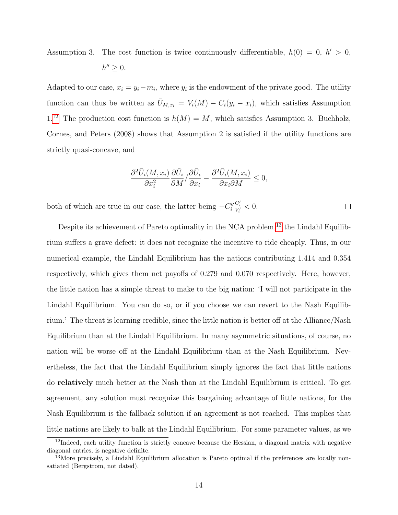Assumption 3. The cost function is twice continuously differentiable,  $h(0) = 0, h' > 0$ ,

$$
h'' \geq 0.
$$

Adapted to our case,  $x_i = y_i - m_i$ , where  $y_i$  is the endowment of the private good. The utility function can thus be written as  $\bar{U}_{M,x_i} = V_i(M) - C_i(y_i - x_i)$ , which satisfies Assumption  $1<sup>12</sup>$  $1<sup>12</sup>$  $1<sup>12</sup>$  The production cost function is  $h(M) = M$ , which satisfies Assumption 3. Buchholz, Cornes, and Peters (2008) shows that Assumption 2 is satisfied if the utility functions are strictly quasi-concave, and

$$
\frac{\partial^2 \bar{U}_i(M, x_i)}{\partial x_i^2} \frac{\partial \bar{U}_i}{\partial M} / \frac{\partial \bar{U}_i}{\partial x_i} - \frac{\partial^2 \bar{U}_i(M, x_i)}{\partial x_i \partial M} \le 0,
$$

 $\frac{C_i'}{V_i'} < 0.$ both of which are true in our case, the latter being  $-C''_i$  $\Box$ 

Despite its achievement of Pareto optimality in the NCA problem,<sup>[13](#page-17-1)</sup> the Lindahl Equilibrium suffers a grave defect: it does not recognize the incentive to ride cheaply. Thus, in our numerical example, the Lindahl Equilibrium has the nations contributing 1.414 and 0.354 respectively, which gives them net payoffs of 0.279 and 0.070 respectively. Here, however, the little nation has a simple threat to make to the big nation: 'I will not participate in the Lindahl Equilibrium. You can do so, or if you choose we can revert to the Nash Equilibrium.' The threat is learning credible, since the little nation is better off at the Alliance/Nash Equilibrium than at the Lindahl Equilibrium. In many asymmetric situations, of course, no nation will be worse off at the Lindahl Equilibrium than at the Nash Equilibrium. Nevertheless, the fact that the Lindahl Equilibrium simply ignores the fact that little nations do relatively much better at the Nash than at the Lindahl Equilibrium is critical. To get agreement, any solution must recognize this bargaining advantage of little nations, for the Nash Equilibrium is the fallback solution if an agreement is not reached. This implies that little nations are likely to balk at the Lindahl Equilibrium. For some parameter values, as we

<span id="page-17-0"></span><sup>&</sup>lt;sup>12</sup>Indeed, each utility function is strictly concave because the Hessian, a diagonal matrix with negative diagonal entries, is negative definite.

<span id="page-17-1"></span> $^{13}$ More precisely, a Lindahl Equilibrium allocation is Pareto optimal if the preferences are locally nonsatiated (Bergstrom, not dated).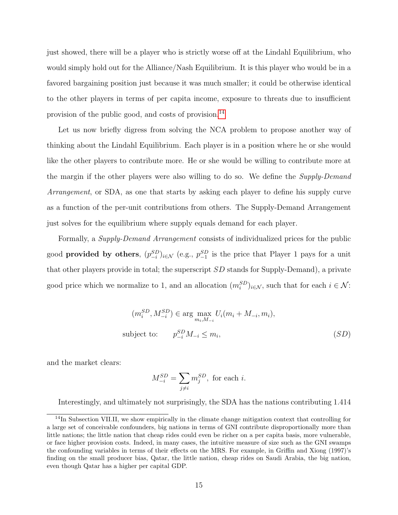just showed, there will be a player who is strictly worse off at the Lindahl Equilibrium, who would simply hold out for the Alliance/Nash Equilibrium. It is this player who would be in a favored bargaining position just because it was much smaller; it could be otherwise identical to the other players in terms of per capita income, exposure to threats due to insufficient provision of the public good, and costs of provision.<sup>[14](#page-18-0)</sup>

Let us now briefly digress from solving the NCA problem to propose another way of thinking about the Lindahl Equilibrium. Each player is in a position where he or she would like the other players to contribute more. He or she would be willing to contribute more at the margin if the other players were also willing to do so. We define the *Supply-Demand* Arrangement, or SDA, as one that starts by asking each player to define his supply curve as a function of the per-unit contributions from others. The Supply-Demand Arrangement just solves for the equilibrium where supply equals demand for each player.

Formally, a *Supply-Demand Arrangement* consists of individualized prices for the public good **provided by others**,  $(p_{-i}^{SD})_{i \in \mathcal{N}}$  (e.g.,  $p_{-1}^{SD}$  is the price that Player 1 pays for a unit that other players provide in total; the superscript SD stands for Supply-Demand), a private good price which we normalize to 1, and an allocation  $(m_i^{SD})_{i \in \mathcal{N}}$ , such that for each  $i \in \mathcal{N}$ :

$$
(m_i^{SD}, M_{-i}^{SD}) \in \arg\max_{m_i, M_{-i}} U_i(m_i + M_{-i}, m_i),
$$
  
subject to: 
$$
p_{-i}^{SD} M_{-i} \le m_i,
$$
 (SD)

and the market clears:

$$
M_{-i}^{SD} = \sum_{j \neq i} m_j^{SD}, \text{ for each } i.
$$

Interestingly, and ultimately not surprisingly, the SDA has the nations contributing 1.414

<span id="page-18-0"></span> $14$ In Subsection VII.II, we show empirically in the climate change mitigation context that controlling for a large set of conceivable confounders, big nations in terms of GNI contribute disproportionally more than little nations; the little nation that cheap rides could even be richer on a per capita basis, more vulnerable, or face higher provision costs. Indeed, in many cases, the intuitive measure of size such as the GNI swamps the confounding variables in terms of their effects on the MRS. For example, in Griffin and Xiong (1997)'s finding on the small producer bias, Qatar, the little nation, cheap rides on Saudi Arabia, the big nation, even though Qatar has a higher per capital GDP.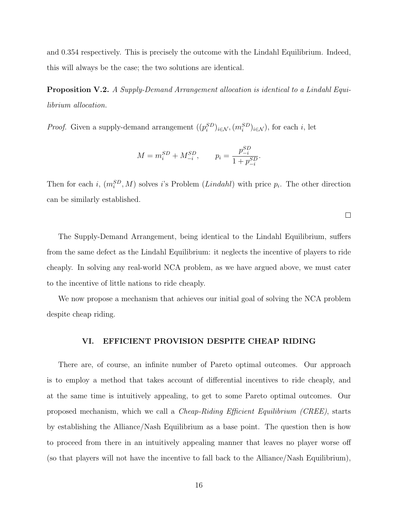and 0.354 respectively. This is precisely the outcome with the Lindahl Equilibrium. Indeed, this will always be the case; the two solutions are identical.

<span id="page-19-0"></span>Proposition V.2. A Supply-Demand Arrangement allocation is identical to a Lindahl Equilibrium allocation.

*Proof.* Given a supply-demand arrangement  $((p_i^{SD})_{i \in \mathcal{N}}, (m_i^{SD})_{i \in \mathcal{N}})$ , for each i, let

$$
M = m_i^{SD} + M_{-i}^{SD}, \qquad p_i = \frac{p_{-i}^{SD}}{1 + p_{-i}^{SD}}.
$$

Then for each *i*,  $(m_i^{SD}, M)$  solves *i*'s Problem (*Lindahl*) with price  $p_i$ . The other direction can be similarly established.

 $\Box$ 

The Supply-Demand Arrangement, being identical to the Lindahl Equilibrium, suffers from the same defect as the Lindahl Equilibrium: it neglects the incentive of players to ride cheaply. In solving any real-world NCA problem, as we have argued above, we must cater to the incentive of little nations to ride cheaply.

We now propose a mechanism that achieves our initial goal of solving the NCA problem despite cheap riding.

#### VI. EFFICIENT PROVISION DESPITE CHEAP RIDING

There are, of course, an infinite number of Pareto optimal outcomes. Our approach is to employ a method that takes account of differential incentives to ride cheaply, and at the same time is intuitively appealing, to get to some Pareto optimal outcomes. Our proposed mechanism, which we call a Cheap-Riding Efficient Equilibrium (CREE), starts by establishing the Alliance/Nash Equilibrium as a base point. The question then is how to proceed from there in an intuitively appealing manner that leaves no player worse off (so that players will not have the incentive to fall back to the Alliance/Nash Equilibrium),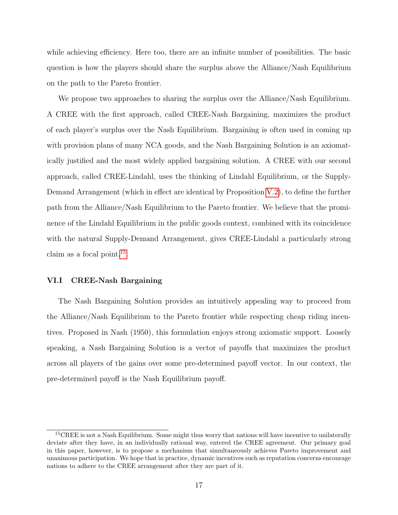while achieving efficiency. Here too, there are an infinite number of possibilities. The basic question is how the players should share the surplus above the Alliance/Nash Equilibrium on the path to the Pareto frontier.

We propose two approaches to sharing the surplus over the Alliance/Nash Equilibrium. A CREE with the first approach, called CREE-Nash Bargaining, maximizes the product of each player's surplus over the Nash Equilibrium. Bargaining is often used in coming up with provision plans of many NCA goods, and the Nash Bargaining Solution is an axiomatically justified and the most widely applied bargaining solution. A CREE with our second approach, called CREE-Lindahl, uses the thinking of Lindahl Equilibrium, or the Supply-Demand Arrangement (which in effect are identical by Proposition [V.2\)](#page-19-0), to define the further path from the Alliance/Nash Equilibrium to the Pareto frontier. We believe that the prominence of the Lindahl Equilibrium in the public goods context, combined with its coincidence with the natural Supply-Demand Arrangement, gives CREE-Lindahl a particularly strong claim as a focal point.[15](#page-20-0)

#### VI.I CREE-Nash Bargaining

The Nash Bargaining Solution provides an intuitively appealing way to proceed from the Alliance/Nash Equilibrium to the Pareto frontier while respecting cheap riding incentives. Proposed in Nash (1950), this formulation enjoys strong axiomatic support. Loosely speaking, a Nash Bargaining Solution is a vector of payoffs that maximizes the product across all players of the gains over some pre-determined payoff vector. In our context, the pre-determined payoff is the Nash Equilibrium payoff.

<span id="page-20-0"></span><sup>&</sup>lt;sup>15</sup>CREE is not a Nash Equilibrium. Some might thus worry that nations will have incentive to unilaterally deviate after they have, in an individually rational way, entered the CREE agreement. Our primary goal in this paper, however, is to propose a mechanism that simultaneously achieves Pareto improvement and unanimous participation. We hope that in practice, dynamic incentives such as reputation concerns encourage nations to adhere to the CREE arrangement after they are part of it.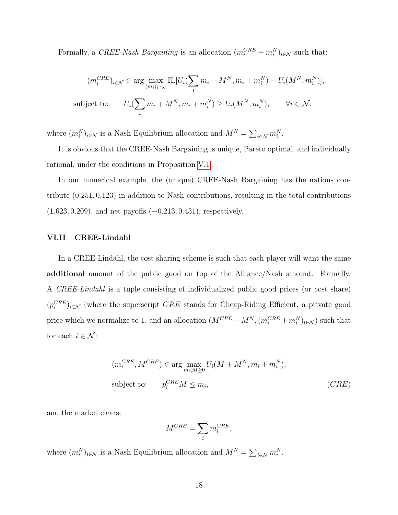Formally, a CREE-Nash Bargaining is an allocation  $(m_i^{CRE} + m_i^N)_{i \in \mathcal{N}}$  such that:

$$
(m_i^{CRE})_{i \in \mathcal{N}} \in \arg \max_{(m_i)_{i \in \mathcal{N}}} \Pi_i[U_i(\sum_i m_i + M^N, m_i + m_i^N) - U_i(M^N, m_i^N)],
$$
  
subject to: 
$$
U_i(\sum_i m_i + M^N, m_i + m_i^N) \ge U_i(M^N, m_i^N), \qquad \forall i \in \mathcal{N},
$$

where  $(m_i^N)_{i \in \mathcal{N}}$  is a Nash Equilibrium allocation and  $M^N = \sum_{i \in \mathcal{N}} m_i^N$ .

It is obvious that the CREE-Nash Bargaining is unique, Pareto optimal, and individually rational, under the conditions in Proposition [V.1.](#page-16-1)

In our numerical example, the (unique) CREE-Nash Bargaining has the nations contribute (0.251, 0.123) in addition to Nash contributions, resulting in the total contributions (1.623, 0.209), and net payoffs (−0.213, 0.431), respectively.

#### VI.II CREE-Lindahl

In a CREE-Lindahl, the cost sharing scheme is such that each player will want the same additional amount of the public good on top of the Alliance/Nash amount. Formally, A CREE-Lindahl is a tuple consisting of individualized public good prices (or cost share)  $(p_i^{CRE})_{i \in \mathcal{N}}$  (where the superscript *CRE* stands for Cheap-Riding Efficient, a private good price which we normalize to 1, and an allocation  $(M^{CRE} + M^N, (m_i^{CRE} + m_i^N)_{i \in \mathcal{N}})$  such that for each  $i \in \mathcal{N}$ :

$$
(m_i^{CRE}, M^{CRE}) \in \arg\max_{m_i, M \ge 0} U_i(M + M^N, m_i + m_i^N),
$$
  
subject to: 
$$
p_i^{CRE} M \le m_i,
$$
 (CRE)

and the market clears:

$$
M^{CRE} = \sum_{i} m_i^{CRE},
$$

where  $(m_i^N)_{i \in \mathcal{N}}$  is a Nash Equilibrium allocation and  $M^N = \sum_{i \in \mathcal{N}} m_i^N$ .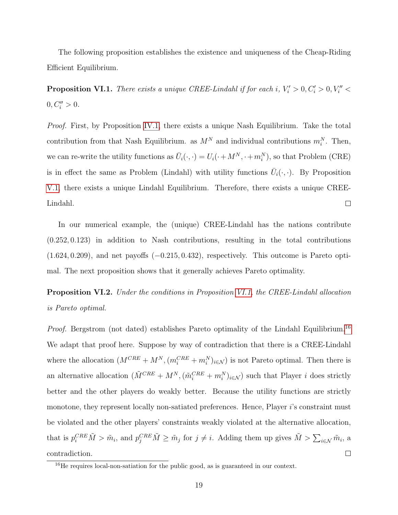The following proposition establishes the existence and uniqueness of the Cheap-Riding Efficient Equilibrium.

<span id="page-22-0"></span>**Proposition VI.1.** There exists a unique CREE-Lindahl if for each i,  $V_i' > 0, C_i' > 0, V_i'' <$  $0, C_i'' > 0.$ 

Proof. First, by Proposition [IV.1,](#page-12-1) there exists a unique Nash Equilibrium. Take the total contribution from that Nash Equilibrium. as  $M^N$  and individual contributions  $m_i^N$ . Then, we can re-write the utility functions as  $\bar{U}_i(\cdot,\cdot) = U_i(\cdot + M^N, \cdot + m_i^N)$ , so that Problem (CRE) is in effect the same as Problem (Lindahl) with utility functions  $\bar{U}_i(\cdot,\cdot)$ . By Proposition [V.1,](#page-16-1) there exists a unique Lindahl Equilibrium. Therefore, there exists a unique CREE- $\Box$ Lindahl.

In our numerical example, the (unique) CREE-Lindahl has the nations contribute (0.252, 0.123) in addition to Nash contributions, resulting in the total contributions  $(1.624, 0.209)$ , and net payoffs  $(-0.215, 0.432)$ , respectively. This outcome is Pareto optimal. The next proposition shows that it generally achieves Pareto optimality.

**Proposition VI.2.** Under the conditions in Proposition [VI.1,](#page-22-0) the CREE-Lindahl allocation is Pareto optimal.

Proof. Bergstrom (not dated) establishes Pareto optimality of the Lindahl Equilibrium.<sup>[16](#page-22-1)</sup> We adapt that proof here. Suppose by way of contradiction that there is a CREE-Lindahl where the allocation  $(M^{CRE} + M^N, (m_i^{CRE} + m_i^N)_{i \in \mathcal{N}})$  is not Pareto optimal. Then there is an alternative allocation  $(\tilde{M}^{CRE} + M^N, (\tilde{m}_i^{CRE} + m_i^N)_{i \in \mathcal{N}})$  such that Player *i* does strictly better and the other players do weakly better. Because the utility functions are strictly monotone, they represent locally non-satiated preferences. Hence, Player i's constraint must be violated and the other players' constraints weakly violated at the alternative allocation, that is  $p_i^{CRE}\tilde{M} > \tilde{m}_i$ , and  $p_j^{CRE}\tilde{M} \ge \tilde{m}_j$  for  $j \ne i$ . Adding them up gives  $\tilde{M} > \sum_{i \in \mathcal{N}} \tilde{m}_i$ , a contradiction.  $\Box$ 

<span id="page-22-1"></span> $16$ He requires local-non-satiation for the public good, as is guaranteed in our context.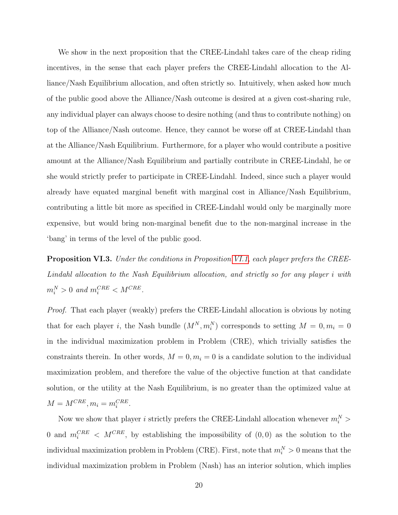We show in the next proposition that the CREE-Lindahl takes care of the cheap riding incentives, in the sense that each player prefers the CREE-Lindahl allocation to the Alliance/Nash Equilibrium allocation, and often strictly so. Intuitively, when asked how much of the public good above the Alliance/Nash outcome is desired at a given cost-sharing rule, any individual player can always choose to desire nothing (and thus to contribute nothing) on top of the Alliance/Nash outcome. Hence, they cannot be worse off at CREE-Lindahl than at the Alliance/Nash Equilibrium. Furthermore, for a player who would contribute a positive amount at the Alliance/Nash Equilibrium and partially contribute in CREE-Lindahl, he or she would strictly prefer to participate in CREE-Lindahl. Indeed, since such a player would already have equated marginal benefit with marginal cost in Alliance/Nash Equilibrium, contributing a little bit more as specified in CREE-Lindahl would only be marginally more expensive, but would bring non-marginal benefit due to the non-marginal increase in the 'bang' in terms of the level of the public good.

Proposition VI.3. Under the conditions in Proposition [VI.1,](#page-22-0) each player prefers the CREE-Lindahl allocation to the Nash Equilibrium allocation, and strictly so for any player i with  $m_i^N > 0$  and  $m_i^{CRE} < M^{CRE}$ .

Proof. That each player (weakly) prefers the CREE-Lindahl allocation is obvious by noting that for each player *i*, the Nash bundle  $(M^N, m_i^N)$  corresponds to setting  $M = 0, m_i = 0$ in the individual maximization problem in Problem (CRE), which trivially satisfies the constraints therein. In other words,  $M = 0, m_i = 0$  is a candidate solution to the individual maximization problem, and therefore the value of the objective function at that candidate solution, or the utility at the Nash Equilibrium, is no greater than the optimized value at  $M = M^{CRE}, m_i = m_i^{CRE}.$ 

Now we show that player *i* strictly prefers the CREE-Lindahl allocation whenever  $m_i^N$  > 0 and  $m_i^{CRE} < M^{CRE}$ , by establishing the impossibility of  $(0,0)$  as the solution to the individual maximization problem in Problem (CRE). First, note that  $m_i^N > 0$  means that the individual maximization problem in Problem (Nash) has an interior solution, which implies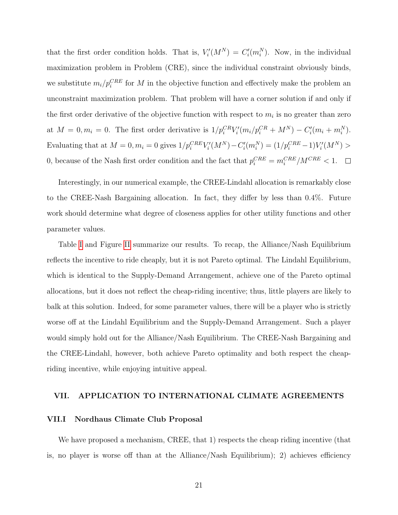that the first order condition holds. That is,  $V_i'(M^N) = C_i'(m_i^N)$ . Now, in the individual maximization problem in Problem (CRE), since the individual constraint obviously binds, we substitute  $m_i/p_i^{CRE}$  for M in the objective function and effectively make the problem an unconstraint maximization problem. That problem will have a corner solution if and only if the first order derivative of the objective function with respect to  $m_i$  is no greater than zero at  $M = 0, m_i = 0$ . The first order derivative is  $1/p_i^{CR}V_i'(m_i/p_i^{CR} + M^N) - C_i'(m_i + m_i^N)$ . Evaluating that at  $M = 0, m_i = 0$  gives  $1/p_i^{CRE}V_i'(M^N) - C_i'(m_i^N) = (1/p_i^{CRE} - 1)V_i'(M^N) >$ 0, because of the Nash first order condition and the fact that  $p_i^{CRE} = m_i^{CRE}/M^{CRE} < 1$ .

Interestingly, in our numerical example, the CREE-Lindahl allocation is remarkably close to the CREE-Nash Bargaining allocation. In fact, they differ by less than 0.4%. Future work should determine what degree of closeness applies for other utility functions and other parameter values.

Table [I](#page-39-0) and Figure [II](#page-43-0) summarize our results. To recap, the Alliance/Nash Equilibrium reflects the incentive to ride cheaply, but it is not Pareto optimal. The Lindahl Equilibrium, which is identical to the Supply-Demand Arrangement, achieve one of the Pareto optimal allocations, but it does not reflect the cheap-riding incentive; thus, little players are likely to balk at this solution. Indeed, for some parameter values, there will be a player who is strictly worse off at the Lindahl Equilibrium and the Supply-Demand Arrangement. Such a player would simply hold out for the Alliance/Nash Equilibrium. The CREE-Nash Bargaining and the CREE-Lindahl, however, both achieve Pareto optimality and both respect the cheapriding incentive, while enjoying intuitive appeal.

#### VII. APPLICATION TO INTERNATIONAL CLIMATE AGREEMENTS

#### VII.I Nordhaus Climate Club Proposal

We have proposed a mechanism, CREE, that 1) respects the cheap riding incentive (that is, no player is worse off than at the Alliance/Nash Equilibrium); 2) achieves efficiency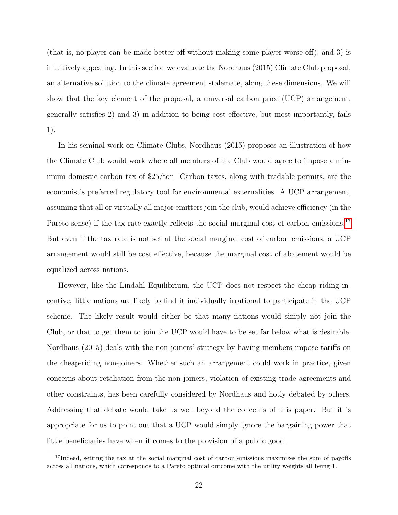(that is, no player can be made better off without making some player worse off); and 3) is intuitively appealing. In this section we evaluate the Nordhaus (2015) Climate Club proposal, an alternative solution to the climate agreement stalemate, along these dimensions. We will show that the key element of the proposal, a universal carbon price (UCP) arrangement, generally satisfies 2) and 3) in addition to being cost-effective, but most importantly, fails 1).

In his seminal work on Climate Clubs, Nordhaus (2015) proposes an illustration of how the Climate Club would work where all members of the Club would agree to impose a minimum domestic carbon tax of \$25/ton. Carbon taxes, along with tradable permits, are the economist's preferred regulatory tool for environmental externalities. A UCP arrangement, assuming that all or virtually all major emitters join the club, would achieve efficiency (in the Pareto sense) if the tax rate exactly reflects the social marginal cost of carbon emissions.<sup>[17](#page-25-0)</sup> But even if the tax rate is not set at the social marginal cost of carbon emissions, a UCP arrangement would still be cost effective, because the marginal cost of abatement would be equalized across nations.

However, like the Lindahl Equilibrium, the UCP does not respect the cheap riding incentive; little nations are likely to find it individually irrational to participate in the UCP scheme. The likely result would either be that many nations would simply not join the Club, or that to get them to join the UCP would have to be set far below what is desirable. Nordhaus (2015) deals with the non-joiners' strategy by having members impose tariffs on the cheap-riding non-joiners. Whether such an arrangement could work in practice, given concerns about retaliation from the non-joiners, violation of existing trade agreements and other constraints, has been carefully considered by Nordhaus and hotly debated by others. Addressing that debate would take us well beyond the concerns of this paper. But it is appropriate for us to point out that a UCP would simply ignore the bargaining power that little beneficiaries have when it comes to the provision of a public good.

<span id="page-25-0"></span><sup>&</sup>lt;sup>17</sup>Indeed, setting the tax at the social marginal cost of carbon emissions maximizes the sum of payoffs across all nations, which corresponds to a Pareto optimal outcome with the utility weights all being 1.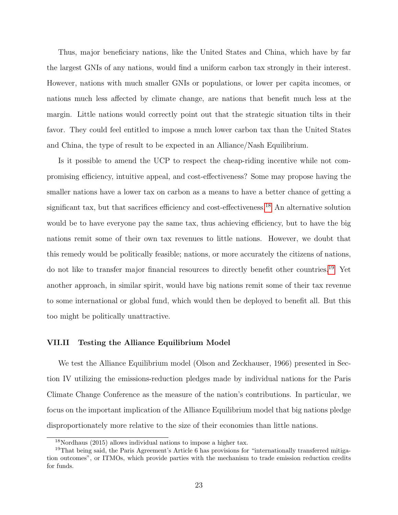Thus, major beneficiary nations, like the United States and China, which have by far the largest GNIs of any nations, would find a uniform carbon tax strongly in their interest. However, nations with much smaller GNIs or populations, or lower per capita incomes, or nations much less affected by climate change, are nations that benefit much less at the margin. Little nations would correctly point out that the strategic situation tilts in their favor. They could feel entitled to impose a much lower carbon tax than the United States and China, the type of result to be expected in an Alliance/Nash Equilibrium.

Is it possible to amend the UCP to respect the cheap-riding incentive while not compromising efficiency, intuitive appeal, and cost-effectiveness? Some may propose having the smaller nations have a lower tax on carbon as a means to have a better chance of getting a significant tax, but that sacrifices efficiency and cost-effectiveness.<sup>[18](#page-26-0)</sup> An alternative solution would be to have everyone pay the same tax, thus achieving efficiency, but to have the big nations remit some of their own tax revenues to little nations. However, we doubt that this remedy would be politically feasible; nations, or more accurately the citizens of nations, do not like to transfer major financial resources to directly benefit other countries.[19](#page-26-1) Yet another approach, in similar spirit, would have big nations remit some of their tax revenue to some international or global fund, which would then be deployed to benefit all. But this too might be politically unattractive.

#### VII.II Testing the Alliance Equilibrium Model

We test the Alliance Equilibrium model (Olson and Zeckhauser, 1966) presented in Section IV utilizing the emissions-reduction pledges made by individual nations for the Paris Climate Change Conference as the measure of the nation's contributions. In particular, we focus on the important implication of the Alliance Equilibrium model that big nations pledge disproportionately more relative to the size of their economies than little nations.

<span id="page-26-1"></span><span id="page-26-0"></span><sup>18</sup>Nordhaus (2015) allows individual nations to impose a higher tax.

<sup>&</sup>lt;sup>19</sup>That being said, the Paris Agreement's Article 6 has provisions for "internationally transferred mitigation outcomes", or ITMOs, which provide parties with the mechanism to trade emission reduction credits for funds.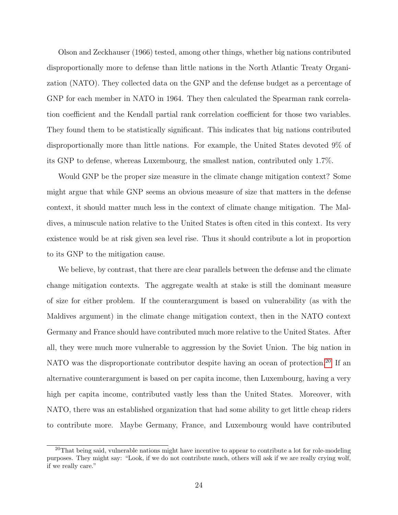Olson and Zeckhauser (1966) tested, among other things, whether big nations contributed disproportionally more to defense than little nations in the North Atlantic Treaty Organization (NATO). They collected data on the GNP and the defense budget as a percentage of GNP for each member in NATO in 1964. They then calculated the Spearman rank correlation coefficient and the Kendall partial rank correlation coefficient for those two variables. They found them to be statistically significant. This indicates that big nations contributed disproportionally more than little nations. For example, the United States devoted 9% of its GNP to defense, whereas Luxembourg, the smallest nation, contributed only 1.7%.

Would GNP be the proper size measure in the climate change mitigation context? Some might argue that while GNP seems an obvious measure of size that matters in the defense context, it should matter much less in the context of climate change mitigation. The Maldives, a minuscule nation relative to the United States is often cited in this context. Its very existence would be at risk given sea level rise. Thus it should contribute a lot in proportion to its GNP to the mitigation cause.

We believe, by contrast, that there are clear parallels between the defense and the climate change mitigation contexts. The aggregate wealth at stake is still the dominant measure of size for either problem. If the counterargument is based on vulnerability (as with the Maldives argument) in the climate change mitigation context, then in the NATO context Germany and France should have contributed much more relative to the United States. After all, they were much more vulnerable to aggression by the Soviet Union. The big nation in NATO was the disproportionate contributor despite having an ocean of protection.<sup>[20](#page-27-0)</sup> If an alternative counterargument is based on per capita income, then Luxembourg, having a very high per capita income, contributed vastly less than the United States. Moreover, with NATO, there was an established organization that had some ability to get little cheap riders to contribute more. Maybe Germany, France, and Luxembourg would have contributed

<span id="page-27-0"></span><sup>&</sup>lt;sup>20</sup>That being said, vulnerable nations might have incentive to appear to contribute a lot for role-modeling purposes. They might say: "Look, if we do not contribute much, others will ask if we are really crying wolf, if we really care."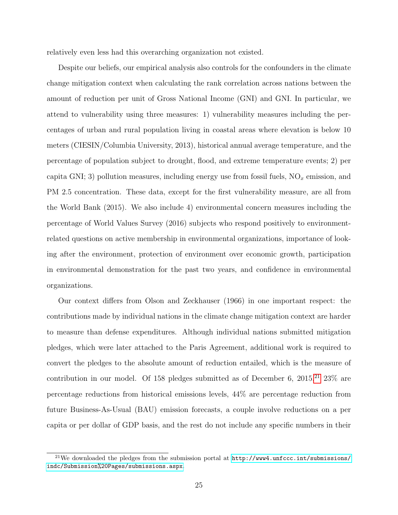relatively even less had this overarching organization not existed.

Despite our beliefs, our empirical analysis also controls for the confounders in the climate change mitigation context when calculating the rank correlation across nations between the amount of reduction per unit of Gross National Income (GNI) and GNI. In particular, we attend to vulnerability using three measures: 1) vulnerability measures including the percentages of urban and rural population living in coastal areas where elevation is below 10 meters (CIESIN/Columbia University, 2013), historical annual average temperature, and the percentage of population subject to drought, flood, and extreme temperature events; 2) per capita GNI; 3) pollution measures, including energy use from fossil fuels,  $N\Omega_x$  emission, and PM 2.5 concentration. These data, except for the first vulnerability measure, are all from the World Bank (2015). We also include 4) environmental concern measures including the percentage of World Values Survey (2016) subjects who respond positively to environmentrelated questions on active membership in environmental organizations, importance of looking after the environment, protection of environment over economic growth, participation in environmental demonstration for the past two years, and confidence in environmental organizations.

Our context differs from Olson and Zeckhauser (1966) in one important respect: the contributions made by individual nations in the climate change mitigation context are harder to measure than defense expenditures. Although individual nations submitted mitigation pledges, which were later attached to the Paris Agreement, additional work is required to convert the pledges to the absolute amount of reduction entailed, which is the measure of contribution in our model. Of 158 pledges submitted as of December 6,  $2015<sup>21</sup> 23%$  $2015<sup>21</sup> 23%$  $2015<sup>21</sup> 23%$  are percentage reductions from historical emissions levels, 44% are percentage reduction from future Business-As-Usual (BAU) emission forecasts, a couple involve reductions on a per capita or per dollar of GDP basis, and the rest do not include any specific numbers in their

<span id="page-28-0"></span> $^{21}$ We downloaded the pledges from the submission portal at  $http://www4.unfcc.c.int/submissions/$ [indc/Submission%20Pages/submissions.aspx](http://www4.unfccc.int/submissions/indc/Submission%20Pages/submissions.aspx).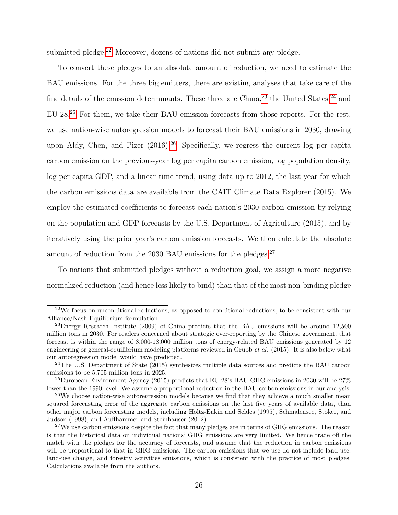submitted pledge.<sup>[22](#page-29-0)</sup> Moreover, dozens of nations did not submit any pledge.

To convert these pledges to an absolute amount of reduction, we need to estimate the BAU emissions. For the three big emitters, there are existing analyses that take care of the fine details of the emission determinants. These three are China,  $2<sup>3</sup>$  the United States,  $2<sup>4</sup>$  and EU-28.[25](#page-29-3) For them, we take their BAU emission forecasts from those reports. For the rest, we use nation-wise autoregression models to forecast their BAU emissions in 2030, drawing upon Aldy, Chen, and Pizer  $(2016).^{26}$  $(2016).^{26}$  $(2016).^{26}$  Specifically, we regress the current log per capita carbon emission on the previous-year log per capita carbon emission, log population density, log per capita GDP, and a linear time trend, using data up to 2012, the last year for which the carbon emissions data are available from the CAIT Climate Data Explorer (2015). We employ the estimated coefficients to forecast each nation's 2030 carbon emission by relying on the population and GDP forecasts by the U.S. Department of Agriculture (2015), and by iteratively using the prior year's carbon emission forecasts. We then calculate the absolute amount of reduction from the 2030 BAU emissions for the pledges. $27$ 

To nations that submitted pledges without a reduction goal, we assign a more negative normalized reduction (and hence less likely to bind) than that of the most non-binding pledge

<span id="page-29-0"></span><sup>22</sup>We focus on unconditional reductions, as opposed to conditional reductions, to be consistent with our Alliance/Nash Equilibrium formulation.

<span id="page-29-1"></span><sup>23</sup>Energy Research Institute (2009) of China predicts that the BAU emissions will be around 12,500 million tons in 2030. For readers concerned about strategic over-reporting by the Chinese government, that forecast is within the range of 8,000-18,000 million tons of energy-related BAU emissions generated by 12 engineering or general-equilibrium modeling platforms reviewed in Grubb et al. (2015). It is also below what our autoregression model would have predicted.

<span id="page-29-2"></span><sup>&</sup>lt;sup>24</sup>The U.S. Department of State (2015) synthesizes multiple data sources and predicts the BAU carbon emissions to be 5,705 million tons in 2025.

<span id="page-29-3"></span> $^{25}$ European Environment Agency (2015) predicts that EU-28's BAU GHG emissions in 2030 will be 27% lower than the 1990 level. We assume a proportional reduction in the BAU carbon emissions in our analysis.

<span id="page-29-4"></span> $^{26}$ We choose nation-wise autoregression models because we find that they achieve a much smaller mean squared forecasting error of the aggregate carbon emissions on the last five years of available data, than other major carbon forecasting models, including Holtz-Eakin and Seldes (1995), Schmalensee, Stoker, and Judson (1998), and Auffhammer and Steinhauser (2012).

<span id="page-29-5"></span><sup>&</sup>lt;sup>27</sup>We use carbon emissions despite the fact that many pledges are in terms of GHG emissions. The reason is that the historical data on individual nations' GHG emissions are very limited. We hence trade off the match with the pledges for the accuracy of forecasts, and assume that the reduction in carbon emissions will be proportional to that in GHG emissions. The carbon emissions that we use do not include land use, land-use change, and forestry activities emissions, which is consistent with the practice of most pledges. Calculations available from the authors.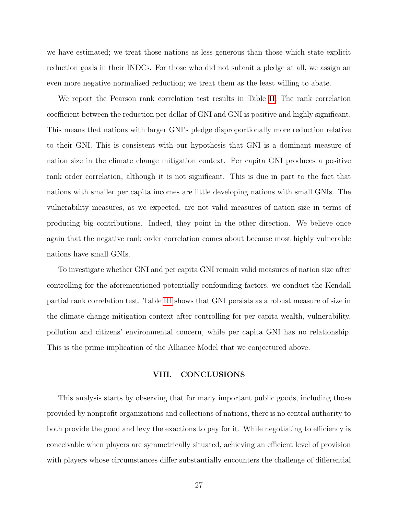we have estimated; we treat those nations as less generous than those which state explicit reduction goals in their INDCs. For those who did not submit a pledge at all, we assign an even more negative normalized reduction; we treat them as the least willing to abate.

We report the Pearson rank correlation test results in Table [II.](#page-40-0) The rank correlation coefficient between the reduction per dollar of GNI and GNI is positive and highly significant. This means that nations with larger GNI's pledge disproportionally more reduction relative to their GNI. This is consistent with our hypothesis that GNI is a dominant measure of nation size in the climate change mitigation context. Per capita GNI produces a positive rank order correlation, although it is not significant. This is due in part to the fact that nations with smaller per capita incomes are little developing nations with small GNIs. The vulnerability measures, as we expected, are not valid measures of nation size in terms of producing big contributions. Indeed, they point in the other direction. We believe once again that the negative rank order correlation comes about because most highly vulnerable nations have small GNIs.

To investigate whether GNI and per capita GNI remain valid measures of nation size after controlling for the aforementioned potentially confounding factors, we conduct the Kendall partial rank correlation test. Table [III](#page-41-0) shows that GNI persists as a robust measure of size in the climate change mitigation context after controlling for per capita wealth, vulnerability, pollution and citizens' environmental concern, while per capita GNI has no relationship. This is the prime implication of the Alliance Model that we conjectured above.

#### VIII. CONCLUSIONS

This analysis starts by observing that for many important public goods, including those provided by nonprofit organizations and collections of nations, there is no central authority to both provide the good and levy the exactions to pay for it. While negotiating to efficiency is conceivable when players are symmetrically situated, achieving an efficient level of provision with players whose circumstances differ substantially encounters the challenge of differential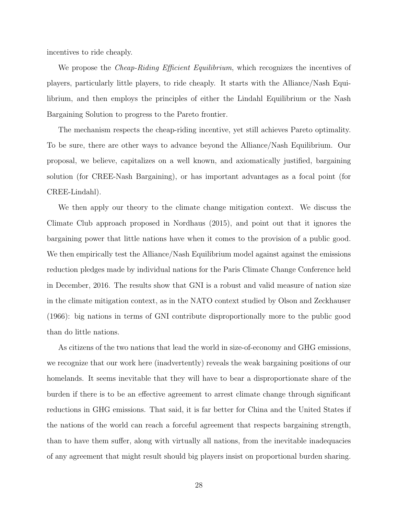incentives to ride cheaply.

We propose the *Cheap-Riding Efficient Equilibrium*, which recognizes the incentives of players, particularly little players, to ride cheaply. It starts with the Alliance/Nash Equilibrium, and then employs the principles of either the Lindahl Equilibrium or the Nash Bargaining Solution to progress to the Pareto frontier.

The mechanism respects the cheap-riding incentive, yet still achieves Pareto optimality. To be sure, there are other ways to advance beyond the Alliance/Nash Equilibrium. Our proposal, we believe, capitalizes on a well known, and axiomatically justified, bargaining solution (for CREE-Nash Bargaining), or has important advantages as a focal point (for CREE-Lindahl).

We then apply our theory to the climate change mitigation context. We discuss the Climate Club approach proposed in Nordhaus (2015), and point out that it ignores the bargaining power that little nations have when it comes to the provision of a public good. We then empirically test the Alliance/Nash Equilibrium model against against the emissions reduction pledges made by individual nations for the Paris Climate Change Conference held in December, 2016. The results show that GNI is a robust and valid measure of nation size in the climate mitigation context, as in the NATO context studied by Olson and Zeckhauser (1966): big nations in terms of GNI contribute disproportionally more to the public good than do little nations.

As citizens of the two nations that lead the world in size-of-economy and GHG emissions, we recognize that our work here (inadvertently) reveals the weak bargaining positions of our homelands. It seems inevitable that they will have to bear a disproportionate share of the burden if there is to be an effective agreement to arrest climate change through significant reductions in GHG emissions. That said, it is far better for China and the United States if the nations of the world can reach a forceful agreement that respects bargaining strength, than to have them suffer, along with virtually all nations, from the inevitable inadequacies of any agreement that might result should big players insist on proportional burden sharing.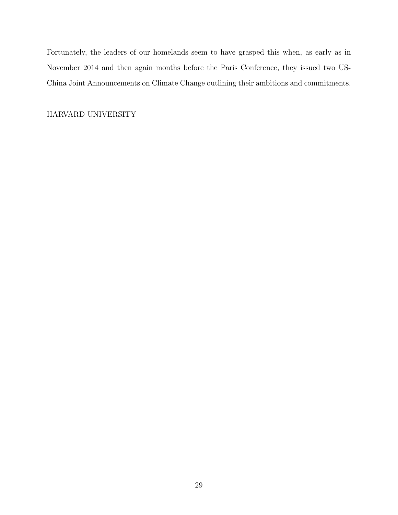Fortunately, the leaders of our homelands seem to have grasped this when, as early as in November 2014 and then again months before the Paris Conference, they issued two US-China Joint Announcements on Climate Change outlining their ambitions and commitments.

HARVARD UNIVERSITY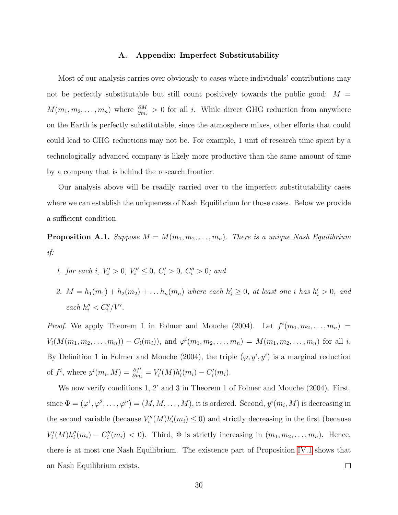#### A. Appendix: Imperfect Substitutability

Most of our analysis carries over obviously to cases where individuals' contributions may not be perfectly substitutable but still count positively towards the public good:  $M =$  $M(m_1, m_2, \ldots, m_n)$  where  $\frac{\partial M}{\partial m_i} > 0$  for all i. While direct GHG reduction from anywhere on the Earth is perfectly substitutable, since the atmosphere mixes, other efforts that could could lead to GHG reductions may not be. For example, 1 unit of research time spent by a technologically advanced company is likely more productive than the same amount of time by a company that is behind the research frontier.

Our analysis above will be readily carried over to the imperfect substitutability cases where we can establish the uniqueness of Nash Equilibrium for those cases. Below we provide a sufficient condition.

**Proposition A.1.** Suppose  $M = M(m_1, m_2, \ldots, m_n)$ . There is a unique Nash Equilibrium if:

- 1. for each i,  $V_i' > 0$ ,  $V_i'' \leq 0$ ,  $C_i' > 0$ ,  $C_i'' > 0$ ; and
- 2.  $M = h_1(m_1) + h_2(m_2) + \ldots h_n(m_n)$  where each  $h'_i \geq 0$ , at least one i has  $h'_i > 0$ , and each  $h''_i < C''_i/V'.$

*Proof.* We apply Theorem 1 in Folmer and Mouche (2004). Let  $f^{i}(m_1, m_2, \ldots, m_n)$  =  $V_i(M(m_1, m_2, \ldots, m_n)) - C_i(m_i)),$  and  $\varphi^i(m_1, m_2, \ldots, m_n) = M(m_1, m_2, \ldots, m_n)$  for all i. By Definition 1 in Folmer and Mouche (2004), the triple  $(\varphi, y^i, y^i)$  is a marginal reduction of  $f^i$ , where  $y^i(m_i, M) = \frac{\partial f^i}{\partial m_i} = V'_i(M)h'_i(m_i) - C'_i(m_i)$ .

We now verify conditions 1, 2' and 3 in Theorem 1 of Folmer and Mouche (2004). First, since  $\Phi=(\varphi^1,\varphi^2,\ldots,\varphi^n)=(M,M,\ldots,M),$  it is ordered. Second,  $y^i(m_i,M)$  is decreasing in the second variable (because  $V''_i(M)h'_i(m_i) \leq 0$ ) and strictly decreasing in the first (because  $V_i'(M)h_i''(m_i) - C_i''(m_i) < 0$ . Third,  $\Phi$  is strictly increasing in  $(m_1, m_2, \ldots, m_n)$ . Hence, there is at most one Nash Equilibrium. The existence part of Proposition [IV.1](#page-12-1) shows that an Nash Equilibrium exists.  $\Box$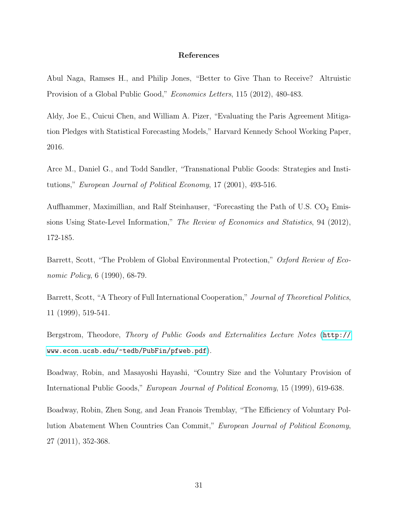#### References

Abul Naga, Ramses H., and Philip Jones, "Better to Give Than to Receive? Altruistic Provision of a Global Public Good," Economics Letters, 115 (2012), 480-483.

Aldy, Joe E., Cuicui Chen, and William A. Pizer, "Evaluating the Paris Agreement Mitigation Pledges with Statistical Forecasting Models," Harvard Kennedy School Working Paper, 2016.

Arce M., Daniel G., and Todd Sandler, "Transnational Public Goods: Strategies and Institutions," European Journal of Political Economy, 17 (2001), 493-516.

Auffhammer, Maximillian, and Ralf Steinhauser, "Forecasting the Path of U.S.  $CO<sub>2</sub>$  Emissions Using State-Level Information," The Review of Economics and Statistics, 94 (2012), 172-185.

Barrett, Scott, "The Problem of Global Environmental Protection," Oxford Review of Economic Policy, 6 (1990), 68-79.

Barrett, Scott, "A Theory of Full International Cooperation," Journal of Theoretical Politics, 11 (1999), 519-541.

Bergstrom, Theodore, Theory of Public Goods and Externalities Lecture Notes ([http://](http://www.econ.ucsb.edu/~tedb/PubFin/pfweb.pdf) [www.econ.ucsb.edu/~tedb/PubFin/pfweb.pdf](http://www.econ.ucsb.edu/~tedb/PubFin/pfweb.pdf)).

Boadway, Robin, and Masayoshi Hayashi, "Country Size and the Voluntary Provision of International Public Goods," European Journal of Political Economy, 15 (1999), 619-638.

Boadway, Robin, Zhen Song, and Jean Franois Tremblay, "The Efficiency of Voluntary Pollution Abatement When Countries Can Commit," European Journal of Political Economy, 27 (2011), 352-368.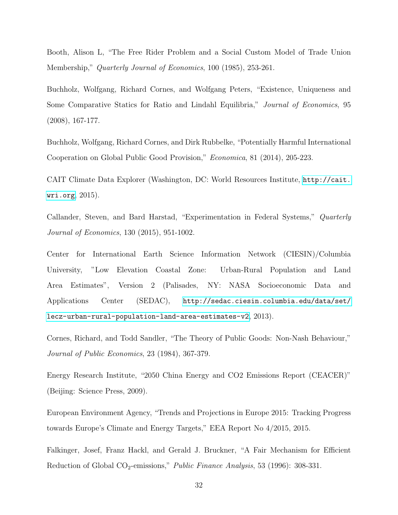Booth, Alison L, "The Free Rider Problem and a Social Custom Model of Trade Union Membership," Quarterly Journal of Economics, 100 (1985), 253-261.

Buchholz, Wolfgang, Richard Cornes, and Wolfgang Peters, "Existence, Uniqueness and Some Comparative Statics for Ratio and Lindahl Equilibria," Journal of Economics, 95 (2008), 167-177.

Buchholz, Wolfgang, Richard Cornes, and Dirk Rubbelke, "Potentially Harmful International Cooperation on Global Public Good Provision," Economica, 81 (2014), 205-223.

CAIT Climate Data Explorer (Washington, DC: World Resources Institute, [http://cait.](http://cait.wri.org) [wri.org](http://cait.wri.org), 2015).

Callander, Steven, and Bard Harstad, "Experimentation in Federal Systems," Quarterly Journal of Economics, 130 (2015), 951-1002.

Center for International Earth Science Information Network (CIESIN)/Columbia University, "Low Elevation Coastal Zone: Urban-Rural Population and Land Area Estimates", Version 2 (Palisades, NY: NASA Socioeconomic Data and Applications Center (SEDAC), [http://sedac.ciesin.columbia.edu/data/set/](http://sedac.ciesin.columbia.edu/data/set/lecz-urban-rural-population-land- area-estimates-v2) [lecz-urban-rural-population-land-area-estimates-v2](http://sedac.ciesin.columbia.edu/data/set/lecz-urban-rural-population-land- area-estimates-v2), 2013).

Cornes, Richard, and Todd Sandler, "The Theory of Public Goods: Non-Nash Behaviour," Journal of Public Economics, 23 (1984), 367-379.

Energy Research Institute, "2050 China Energy and CO2 Emissions Report (CEACER)" (Beijing: Science Press, 2009).

European Environment Agency, "Trends and Projections in Europe 2015: Tracking Progress towards Europe's Climate and Energy Targets," EEA Report No 4/2015, 2015.

Falkinger, Josef, Franz Hackl, and Gerald J. Bruckner, "A Fair Mechanism for Efficient Reduction of Global CO<sub>2</sub>-emissions," *Public Finance Analysis*, 53 (1996): 308-331.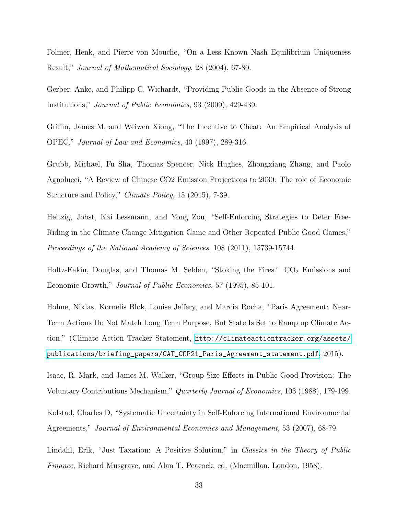Folmer, Henk, and Pierre von Mouche, "On a Less Known Nash Equilibrium Uniqueness Result," Journal of Mathematical Sociology, 28 (2004), 67-80.

Gerber, Anke, and Philipp C. Wichardt, "Providing Public Goods in the Absence of Strong Institutions," Journal of Public Economics, 93 (2009), 429-439.

Griffin, James M, and Weiwen Xiong, "The Incentive to Cheat: An Empirical Analysis of OPEC," Journal of Law and Economics, 40 (1997), 289-316.

Grubb, Michael, Fu Sha, Thomas Spencer, Nick Hughes, Zhongxiang Zhang, and Paolo Agnolucci, "A Review of Chinese CO2 Emission Projections to 2030: The role of Economic Structure and Policy," Climate Policy, 15 (2015), 7-39.

Heitzig, Jobst, Kai Lessmann, and Yong Zou, "Self-Enforcing Strategies to Deter Free-Riding in the Climate Change Mitigation Game and Other Repeated Public Good Games," Proceedings of the National Academy of Sciences, 108 (2011), 15739-15744.

Holtz-Eakin, Douglas, and Thomas M. Selden, "Stoking the Fires?  $CO<sub>2</sub>$  Emissions and Economic Growth," Journal of Public Economics, 57 (1995), 85-101.

Hohne, Niklas, Kornelis Blok, Louise Jeffery, and Marcia Rocha, "Paris Agreement: Near-Term Actions Do Not Match Long Term Purpose, But State Is Set to Ramp up Climate Action," (Climate Action Tracker Statement, [http://climateactiontracker.org/assets/](http://climateactiontracker.org/assets/publications/briefing_papers/CAT_COP21_Paris_Agreement_statement.pdf) [publications/briefing\\_papers/CAT\\_COP21\\_Paris\\_Agreement\\_statement.pdf](http://climateactiontracker.org/assets/publications/briefing_papers/CAT_COP21_Paris_Agreement_statement.pdf), 2015).

Isaac, R. Mark, and James M. Walker, "Group Size Effects in Public Good Provision: The Voluntary Contributions Mechanism," Quarterly Journal of Economics, 103 (1988), 179-199.

Kolstad, Charles D, "Systematic Uncertainty in Self-Enforcing International Environmental Agreements," Journal of Environmental Economics and Management, 53 (2007), 68-79.

Lindahl, Erik, "Just Taxation: A Positive Solution," in Classics in the Theory of Public Finance, Richard Musgrave, and Alan T. Peacock, ed. (Macmillan, London, 1958).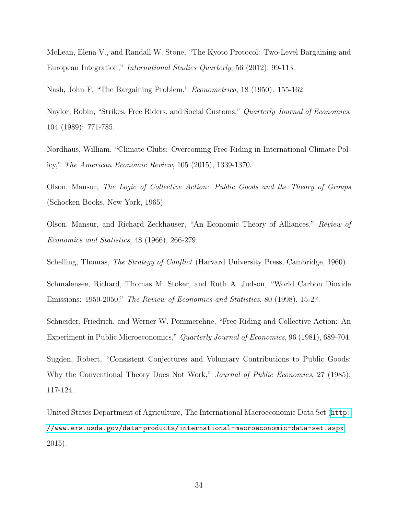McLean, Elena V., and Randall W. Stone, "The Kyoto Protocol: Two-Level Bargaining and European Integration," International Studies Quarterly, 56 (2012), 99-113.

Nash, John F, "The Bargaining Problem," Econometrica, 18 (1950): 155-162.

Naylor, Robin, "Strikes, Free Riders, and Social Customs," Quarterly Journal of Economics, 104 (1989): 771-785.

Nordhaus, William, "Climate Clubs: Overcoming Free-Riding in International Climate Policy," The American Economic Review, 105 (2015), 1339-1370.

Olson, Mansur, The Logic of Collective Action: Public Goods and the Theory of Groups (Schocken Books, New York, 1965).

Olson, Mansur, and Richard Zeckhauser, "An Economic Theory of Alliances," Review of Economics and Statistics, 48 (1966), 266-279.

Schelling, Thomas, *The Strategy of Conflict* (Harvard University Press, Cambridge, 1960).

Schmalensee, Richard, Thomas M. Stoker, and Ruth A. Judson, "World Carbon Dioxide Emissions: 1950-2050," The Review of Economics and Statistics, 80 (1998), 15-27.

Schneider, Friedrich, and Werner W. Pommerehne, "Free Riding and Collective Action: An Experiment in Public Microeconomics," Quarterly Journal of Economics, 96 (1981), 689-704.

Sugden, Robert, "Consistent Conjectures and Voluntary Contributions to Public Goods: Why the Conventional Theory Does Not Work," Journal of Public Economics, 27 (1985), 117-124.

United States Department of Agriculture, The International Macroeconomic Data Set ([http:](http://www.ers.usda.gov/data-products/international-macroeconomic-data-set.aspx) [//www.ers.usda.gov/data-products/international-macroeconomic-data-set.aspx](http://www.ers.usda.gov/data-products/international-macroeconomic-data-set.aspx), 2015).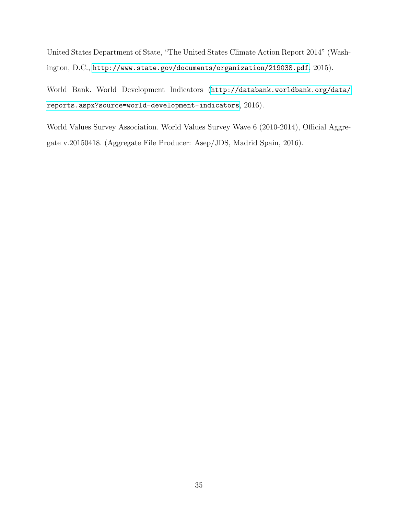United States Department of State, "The United States Climate Action Report 2014" (Washington, D.C., <http://www.state.gov/documents/organization/219038.pdf>, 2015).

World Bank. World Development Indicators ([http://databank.worldbank.org/data/](http://databank.worldbank.org/data/reports.aspx?source=world-development-indicators) [reports.aspx?source=world-development-indicators](http://databank.worldbank.org/data/reports.aspx?source=world-development-indicators), 2016).

World Values Survey Association. World Values Survey Wave 6 (2010-2014), Official Aggregate v.20150418. (Aggregate File Producer: Asep/JDS, Madrid Spain, 2016).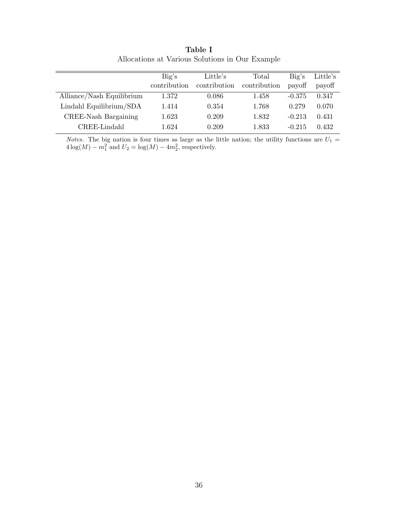<span id="page-39-0"></span>

|                           | Big's        | Little's     | Total        | Big's    | Little's |
|---------------------------|--------------|--------------|--------------|----------|----------|
|                           | contribution | contribution | contribution | payoff   | payoff   |
| Alliance/Nash Equilibrium | 1.372        | 0.086        | 1.458        | $-0.375$ | 0.347    |
| Lindahl Equilibrium/SDA   | 1.414        | 0.354        | 1.768        | 0.279    | 0.070    |
| CREE-Nash Bargaining      | 1.623        | 0.209        | 1.832        | $-0.213$ | 0.431    |
| CREE-Lindahl              | 1.624        | 0.209        | 1.833        | $-0.215$ | 0.432    |

Table I Allocations at Various Solutions in Our Example

*Notes.* The big nation is four times as large as the little nation; the utility functions are  $U_1 =$  $4\log(M) - m_1^2$  and  $U_2 = \log(M) - 4m_2^2$ , respectively.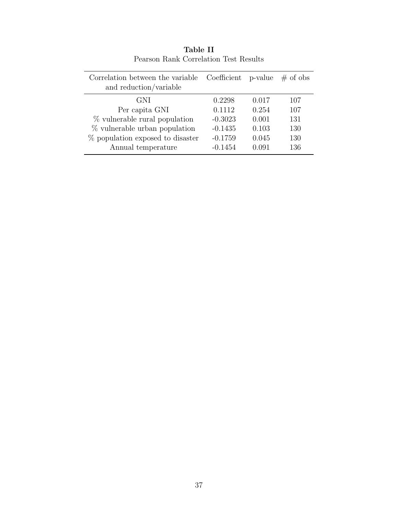<span id="page-40-0"></span>

| Correlation between the variable<br>and reduction/variable | Coefficient p-value |       | $\#$ of obs |
|------------------------------------------------------------|---------------------|-------|-------------|
| GNI                                                        | 0.2298              | 0.017 | 107         |
| Per capita GNI                                             | 0.1112              | 0.254 | 107         |
| % vulnerable rural population                              | $-0.3023$           | 0.001 | 131         |
| % vulnerable urban population                              | $-0.1435$           | 0.103 | 130         |
| % population exposed to disaster                           | $-0.1759$           | 0.045 | 130         |
| Annual temperature                                         | $-0.1454$           | 0.091 | 136         |

Table II Pearson Rank Correlation Test Results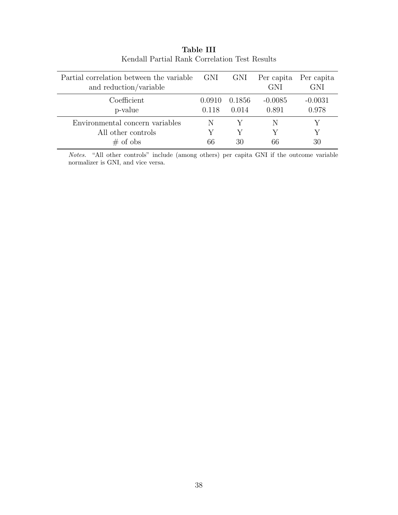<span id="page-41-0"></span>

| Partial correlation between the variable GNI<br>and reduction/variable |                 | GNI               | Per capita Per capita<br><b>GNI</b> | <b>GNI</b>         |
|------------------------------------------------------------------------|-----------------|-------------------|-------------------------------------|--------------------|
| Coefficient<br>p-value                                                 | 0.0910<br>0.118 | - 0.1856<br>0.014 | $-0.0085$<br>0.891                  | $-0.0031$<br>0.978 |
| Environmental concern variables                                        |                 |                   | N                                   |                    |
| All other controls                                                     |                 |                   |                                     |                    |
| $\#$ of obs                                                            | 66              | 30                | 66                                  | 30                 |

Table III Kendall Partial Rank Correlation Test Results

Notes. "All other controls" include (among others) per capita GNI if the outcome variable normalizer is GNI, and vice versa.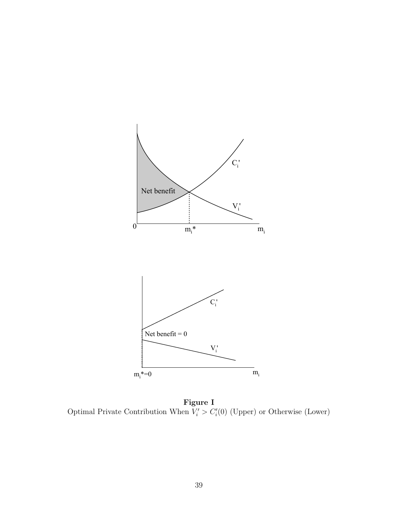<span id="page-42-0"></span>

Figure I Optimal Private Contribution When  $V_i' > C_i'(0)$  (Upper) or Otherwise (Lower)